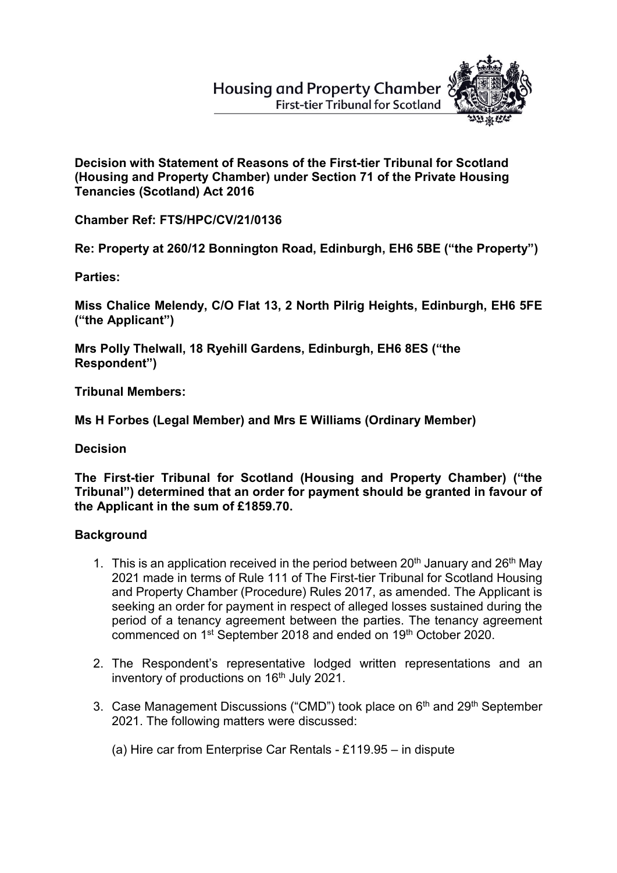## **Housing and Property Chamber First-tier Tribunal for Scotland**



**Decision with Statement of Reasons of the First-tier Tribunal for Scotland (Housing and Property Chamber) under Section 71 of the Private Housing Tenancies (Scotland) Act 2016**

**Chamber Ref: FTS/HPC/CV/21/0136**

**Re: Property at 260/12 Bonnington Road, Edinburgh, EH6 5BE ("the Property")**

**Parties:**

**Miss Chalice Melendy, C/O Flat 13, 2 North Pilrig Heights, Edinburgh, EH6 5FE ("the Applicant")**

**Mrs Polly Thelwall, 18 Ryehill Gardens, Edinburgh, EH6 8ES ("the Respondent")** 

**Tribunal Members:**

**Ms H Forbes (Legal Member) and Mrs E Williams (Ordinary Member)**

**Decision** 

**The First-tier Tribunal for Scotland (Housing and Property Chamber) ("the Tribunal") determined that an order for payment should be granted in favour of the Applicant in the sum of £1859.70.**

## **Background**

- 1. This is an application received in the period between 20<sup>th</sup> January and 26<sup>th</sup> May 2021 made in terms of Rule 111 of The First-tier Tribunal for Scotland Housing and Property Chamber (Procedure) Rules 2017, as amended. The Applicant is seeking an order for payment in respect of alleged losses sustained during the period of a tenancy agreement between the parties. The tenancy agreement commenced on 1st September 2018 and ended on 19th October 2020.
- 2. The Respondent's representative lodged written representations and an inventory of productions on 16<sup>th</sup> July 2021.
- 3. Case Management Discussions ("CMD") took place on 6<sup>th</sup> and 29<sup>th</sup> September 2021. The following matters were discussed:
	- (a) Hire car from Enterprise Car Rentals £119.95 in dispute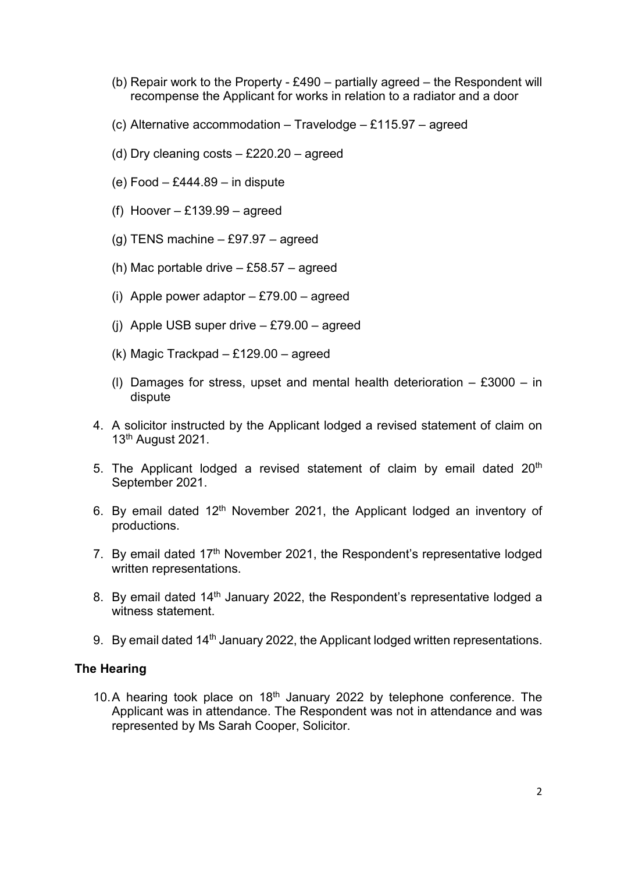- (b) Repair work to the Property £490 partially agreed the Respondent will recompense the Applicant for works in relation to a radiator and a door
- (c) Alternative accommodation Travelodge £115.97 agreed
- (d) Dry cleaning costs £220.20 agreed
- (e) Food £444.89 in dispute
- (f) Hoover  $-$  £139.99  $-$  agreed
- (g) TENS machine  $-$  £97.97  $-$  agreed
- (h) Mac portable drive £58.57 agreed
- (i) Apple power adaptor  $-$  £79.00  $-$  agreed
- (i) Apple USB super drive  $-$  £79.00  $-$  agreed
- (k) Magic Trackpad £129.00 agreed
- (I) Damages for stress, upset and mental health deterioration  $-$  £3000  $-$  in dispute
- 4. A solicitor instructed by the Applicant lodged a revised statement of claim on 13th August 2021.
- 5. The Applicant lodged a revised statement of claim by email dated  $20<sup>th</sup>$ September 2021.
- 6. By email dated  $12<sup>th</sup>$  November 2021, the Applicant lodged an inventory of productions.
- 7. By email dated 17<sup>th</sup> November 2021, the Respondent's representative lodged written representations.
- 8. By email dated 14<sup>th</sup> January 2022, the Respondent's representative lodged a witness statement.
- 9. By email dated 14<sup>th</sup> January 2022, the Applicant lodged written representations.

## **The Hearing**

10.A hearing took place on  $18<sup>th</sup>$  January 2022 by telephone conference. The Applicant was in attendance. The Respondent was not in attendance and was represented by Ms Sarah Cooper, Solicitor.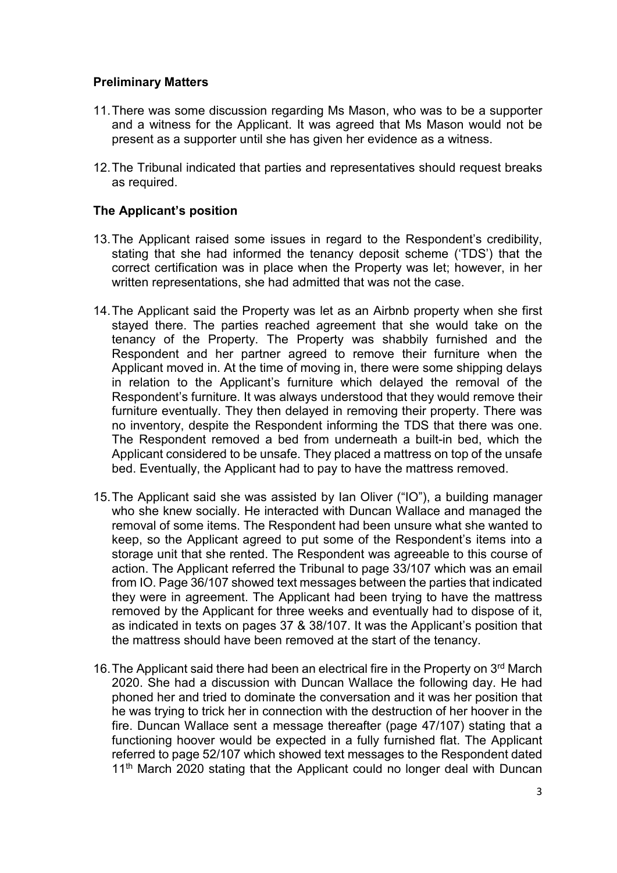## **Preliminary Matters**

- 11.There was some discussion regarding Ms Mason, who was to be a supporter and a witness for the Applicant. It was agreed that Ms Mason would not be present as a supporter until she has given her evidence as a witness.
- 12.The Tribunal indicated that parties and representatives should request breaks as required.

## **The Applicant's position**

- 13.The Applicant raised some issues in regard to the Respondent's credibility, stating that she had informed the tenancy deposit scheme ('TDS') that the correct certification was in place when the Property was let; however, in her written representations, she had admitted that was not the case.
- 14.The Applicant said the Property was let as an Airbnb property when she first stayed there. The parties reached agreement that she would take on the tenancy of the Property. The Property was shabbily furnished and the Respondent and her partner agreed to remove their furniture when the Applicant moved in. At the time of moving in, there were some shipping delays in relation to the Applicant's furniture which delayed the removal of the Respondent's furniture. It was always understood that they would remove their furniture eventually. They then delayed in removing their property. There was no inventory, despite the Respondent informing the TDS that there was one. The Respondent removed a bed from underneath a built-in bed, which the Applicant considered to be unsafe. They placed a mattress on top of the unsafe bed. Eventually, the Applicant had to pay to have the mattress removed.
- 15.The Applicant said she was assisted by Ian Oliver ("IO"), a building manager who she knew socially. He interacted with Duncan Wallace and managed the removal of some items. The Respondent had been unsure what she wanted to keep, so the Applicant agreed to put some of the Respondent's items into a storage unit that she rented. The Respondent was agreeable to this course of action. The Applicant referred the Tribunal to page 33/107 which was an email from IO. Page 36/107 showed text messages between the parties that indicated they were in agreement. The Applicant had been trying to have the mattress removed by the Applicant for three weeks and eventually had to dispose of it, as indicated in texts on pages 37 & 38/107. It was the Applicant's position that the mattress should have been removed at the start of the tenancy.
- 16. The Applicant said there had been an electrical fire in the Property on 3<sup>rd</sup> March 2020. She had a discussion with Duncan Wallace the following day. He had phoned her and tried to dominate the conversation and it was her position that he was trying to trick her in connection with the destruction of her hoover in the fire. Duncan Wallace sent a message thereafter (page 47/107) stating that a functioning hoover would be expected in a fully furnished flat. The Applicant referred to page 52/107 which showed text messages to the Respondent dated 11<sup>th</sup> March 2020 stating that the Applicant could no longer deal with Duncan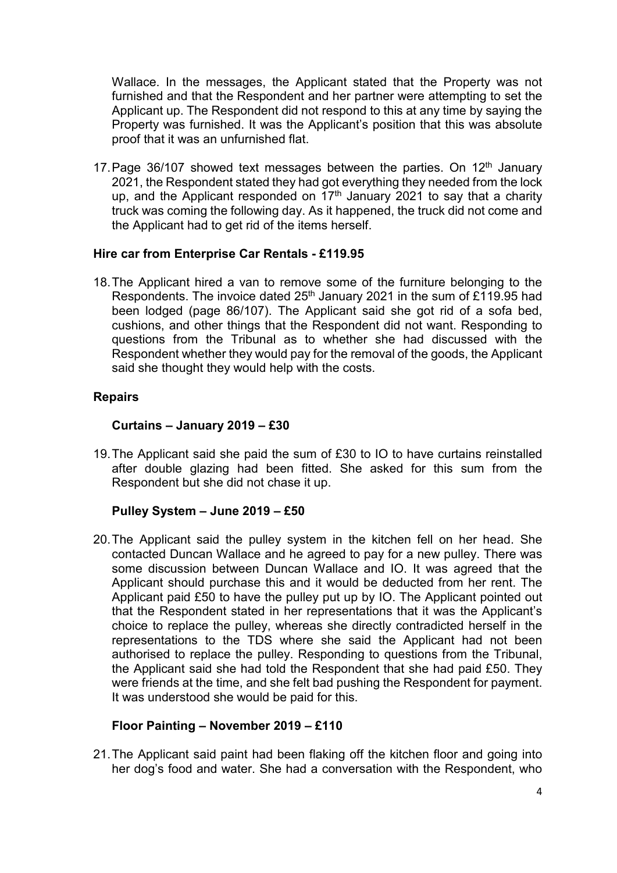Wallace. In the messages, the Applicant stated that the Property was not furnished and that the Respondent and her partner were attempting to set the Applicant up. The Respondent did not respond to this at any time by saying the Property was furnished. It was the Applicant's position that this was absolute proof that it was an unfurnished flat.

17. Page 36/107 showed text messages between the parties. On  $12<sup>th</sup>$  January 2021, the Respondent stated they had got everything they needed from the lock up, and the Applicant responded on  $17<sup>th</sup>$  January 2021 to say that a charity truck was coming the following day. As it happened, the truck did not come and the Applicant had to get rid of the items herself.

## **Hire car from Enterprise Car Rentals - £119.95**

18.The Applicant hired a van to remove some of the furniture belonging to the Respondents. The invoice dated 25<sup>th</sup> January 2021 in the sum of £119.95 had been lodged (page 86/107). The Applicant said she got rid of a sofa bed, cushions, and other things that the Respondent did not want. Responding to questions from the Tribunal as to whether she had discussed with the Respondent whether they would pay for the removal of the goods, the Applicant said she thought they would help with the costs.

## **Repairs**

## **Curtains – January 2019 – £30**

19.The Applicant said she paid the sum of £30 to IO to have curtains reinstalled after double glazing had been fitted. She asked for this sum from the Respondent but she did not chase it up.

## **Pulley System – June 2019 – £50**

20.The Applicant said the pulley system in the kitchen fell on her head. She contacted Duncan Wallace and he agreed to pay for a new pulley. There was some discussion between Duncan Wallace and IO. It was agreed that the Applicant should purchase this and it would be deducted from her rent. The Applicant paid £50 to have the pulley put up by IO. The Applicant pointed out that the Respondent stated in her representations that it was the Applicant's choice to replace the pulley, whereas she directly contradicted herself in the representations to the TDS where she said the Applicant had not been authorised to replace the pulley. Responding to questions from the Tribunal, the Applicant said she had told the Respondent that she had paid £50. They were friends at the time, and she felt bad pushing the Respondent for payment. It was understood she would be paid for this.

## **Floor Painting – November 2019 – £110**

21.The Applicant said paint had been flaking off the kitchen floor and going into her dog's food and water. She had a conversation with the Respondent, who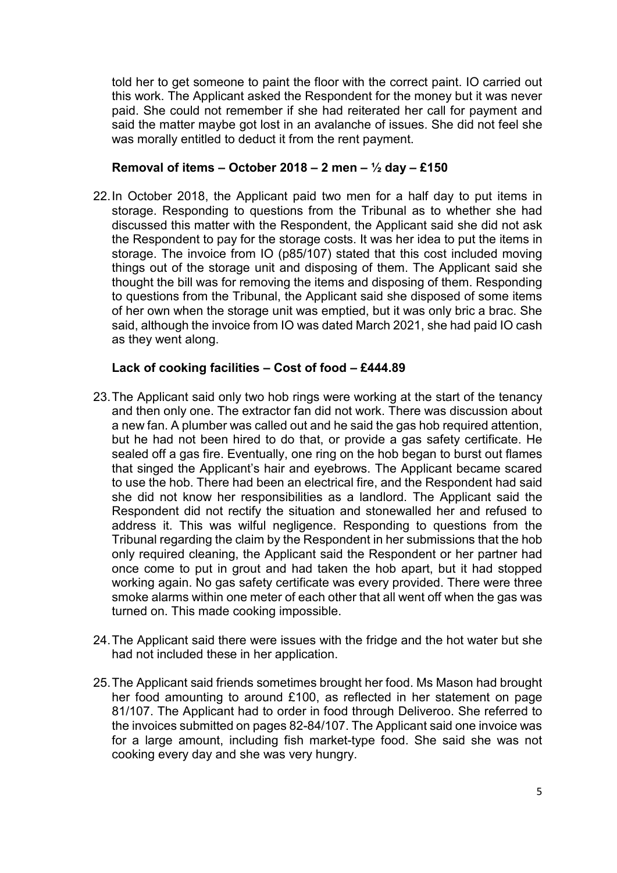told her to get someone to paint the floor with the correct paint. IO carried out this work. The Applicant asked the Respondent for the money but it was never paid. She could not remember if she had reiterated her call for payment and said the matter maybe got lost in an avalanche of issues. She did not feel she was morally entitled to deduct it from the rent payment.

## **Removal of items – October 2018 – 2 men – ½ day – £150**

22.In October 2018, the Applicant paid two men for a half day to put items in storage. Responding to questions from the Tribunal as to whether she had discussed this matter with the Respondent, the Applicant said she did not ask the Respondent to pay for the storage costs. It was her idea to put the items in storage. The invoice from IO (p85/107) stated that this cost included moving things out of the storage unit and disposing of them. The Applicant said she thought the bill was for removing the items and disposing of them. Responding to questions from the Tribunal, the Applicant said she disposed of some items of her own when the storage unit was emptied, but it was only bric a brac. She said, although the invoice from IO was dated March 2021, she had paid IO cash as they went along.

## **Lack of cooking facilities – Cost of food – £444.89**

- 23.The Applicant said only two hob rings were working at the start of the tenancy and then only one. The extractor fan did not work. There was discussion about a new fan. A plumber was called out and he said the gas hob required attention, but he had not been hired to do that, or provide a gas safety certificate. He sealed off a gas fire. Eventually, one ring on the hob began to burst out flames that singed the Applicant's hair and eyebrows. The Applicant became scared to use the hob. There had been an electrical fire, and the Respondent had said she did not know her responsibilities as a landlord. The Applicant said the Respondent did not rectify the situation and stonewalled her and refused to address it. This was wilful negligence. Responding to questions from the Tribunal regarding the claim by the Respondent in her submissions that the hob only required cleaning, the Applicant said the Respondent or her partner had once come to put in grout and had taken the hob apart, but it had stopped working again. No gas safety certificate was every provided. There were three smoke alarms within one meter of each other that all went off when the gas was turned on. This made cooking impossible.
- 24.The Applicant said there were issues with the fridge and the hot water but she had not included these in her application.
- 25.The Applicant said friends sometimes brought her food. Ms Mason had brought her food amounting to around £100, as reflected in her statement on page 81/107. The Applicant had to order in food through Deliveroo. She referred to the invoices submitted on pages 82-84/107. The Applicant said one invoice was for a large amount, including fish market-type food. She said she was not cooking every day and she was very hungry.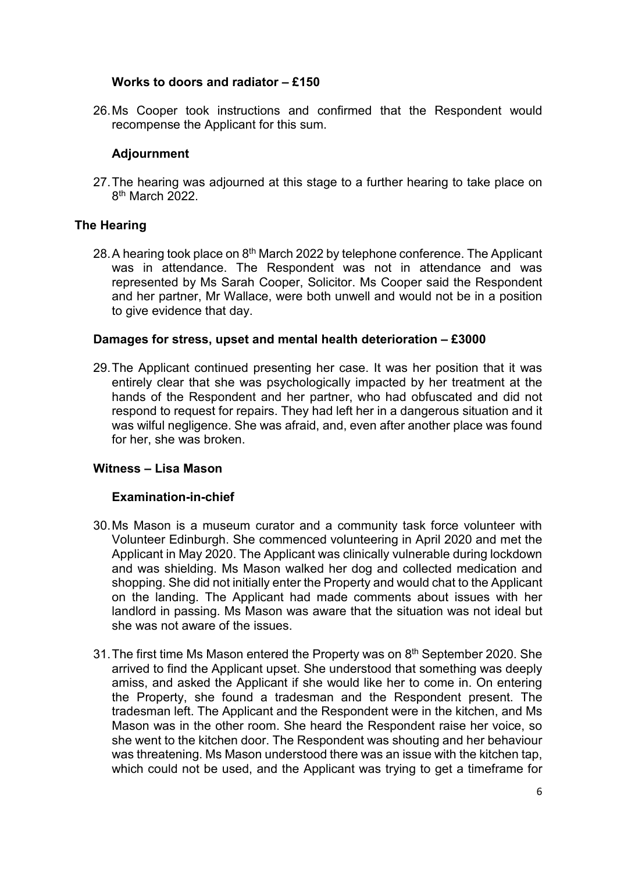## **Works to doors and radiator – £150**

26.Ms Cooper took instructions and confirmed that the Respondent would recompense the Applicant for this sum.

## **Adjournment**

27.The hearing was adjourned at this stage to a further hearing to take place on 8th March 2022.

## **The Hearing**

28. A hearing took place on 8<sup>th</sup> March 2022 by telephone conference. The Applicant was in attendance. The Respondent was not in attendance and was represented by Ms Sarah Cooper, Solicitor. Ms Cooper said the Respondent and her partner, Mr Wallace, were both unwell and would not be in a position to give evidence that day.

## **Damages for stress, upset and mental health deterioration – £3000**

29.The Applicant continued presenting her case. It was her position that it was entirely clear that she was psychologically impacted by her treatment at the hands of the Respondent and her partner, who had obfuscated and did not respond to request for repairs. They had left her in a dangerous situation and it was wilful negligence. She was afraid, and, even after another place was found for her, she was broken.

## **Witness – Lisa Mason**

## **Examination-in-chief**

- 30.Ms Mason is a museum curator and a community task force volunteer with Volunteer Edinburgh. She commenced volunteering in April 2020 and met the Applicant in May 2020. The Applicant was clinically vulnerable during lockdown and was shielding. Ms Mason walked her dog and collected medication and shopping. She did not initially enter the Property and would chat to the Applicant on the landing. The Applicant had made comments about issues with her landlord in passing. Ms Mason was aware that the situation was not ideal but she was not aware of the issues.
- 31. The first time Ms Mason entered the Property was on 8<sup>th</sup> September 2020. She arrived to find the Applicant upset. She understood that something was deeply amiss, and asked the Applicant if she would like her to come in. On entering the Property, she found a tradesman and the Respondent present. The tradesman left. The Applicant and the Respondent were in the kitchen, and Ms Mason was in the other room. She heard the Respondent raise her voice, so she went to the kitchen door. The Respondent was shouting and her behaviour was threatening. Ms Mason understood there was an issue with the kitchen tap, which could not be used, and the Applicant was trying to get a timeframe for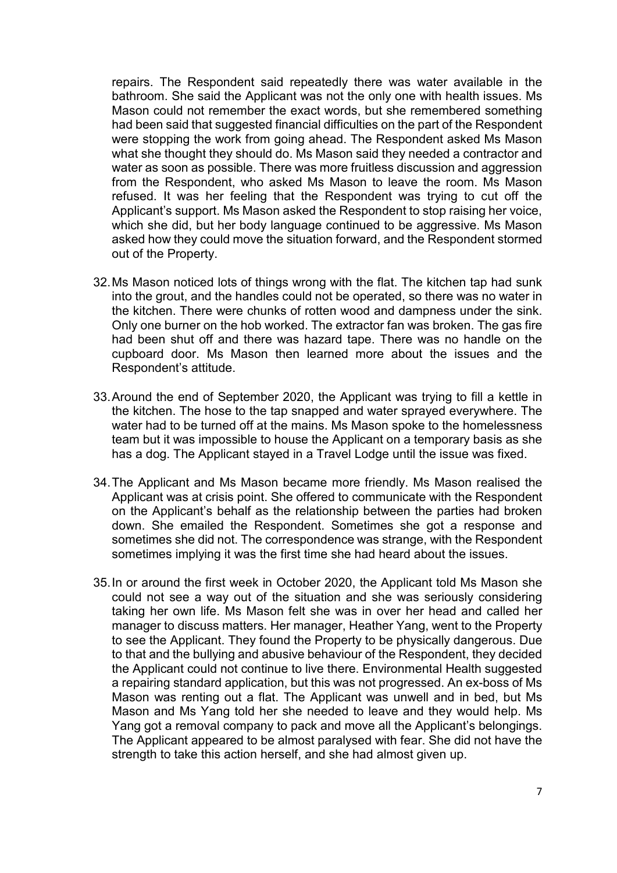repairs. The Respondent said repeatedly there was water available in the bathroom. She said the Applicant was not the only one with health issues. Ms Mason could not remember the exact words, but she remembered something had been said that suggested financial difficulties on the part of the Respondent were stopping the work from going ahead. The Respondent asked Ms Mason what she thought they should do. Ms Mason said they needed a contractor and water as soon as possible. There was more fruitless discussion and aggression from the Respondent, who asked Ms Mason to leave the room. Ms Mason refused. It was her feeling that the Respondent was trying to cut off the Applicant's support. Ms Mason asked the Respondent to stop raising her voice, which she did, but her body language continued to be aggressive. Ms Mason asked how they could move the situation forward, and the Respondent stormed out of the Property.

- 32.Ms Mason noticed lots of things wrong with the flat. The kitchen tap had sunk into the grout, and the handles could not be operated, so there was no water in the kitchen. There were chunks of rotten wood and dampness under the sink. Only one burner on the hob worked. The extractor fan was broken. The gas fire had been shut off and there was hazard tape. There was no handle on the cupboard door. Ms Mason then learned more about the issues and the Respondent's attitude.
- 33.Around the end of September 2020, the Applicant was trying to fill a kettle in the kitchen. The hose to the tap snapped and water sprayed everywhere. The water had to be turned off at the mains. Ms Mason spoke to the homelessness team but it was impossible to house the Applicant on a temporary basis as she has a dog. The Applicant stayed in a Travel Lodge until the issue was fixed.
- 34.The Applicant and Ms Mason became more friendly. Ms Mason realised the Applicant was at crisis point. She offered to communicate with the Respondent on the Applicant's behalf as the relationship between the parties had broken down. She emailed the Respondent. Sometimes she got a response and sometimes she did not. The correspondence was strange, with the Respondent sometimes implying it was the first time she had heard about the issues.
- 35.In or around the first week in October 2020, the Applicant told Ms Mason she could not see a way out of the situation and she was seriously considering taking her own life. Ms Mason felt she was in over her head and called her manager to discuss matters. Her manager, Heather Yang, went to the Property to see the Applicant. They found the Property to be physically dangerous. Due to that and the bullying and abusive behaviour of the Respondent, they decided the Applicant could not continue to live there. Environmental Health suggested a repairing standard application, but this was not progressed. An ex-boss of Ms Mason was renting out a flat. The Applicant was unwell and in bed, but Ms Mason and Ms Yang told her she needed to leave and they would help. Ms Yang got a removal company to pack and move all the Applicant's belongings. The Applicant appeared to be almost paralysed with fear. She did not have the strength to take this action herself, and she had almost given up.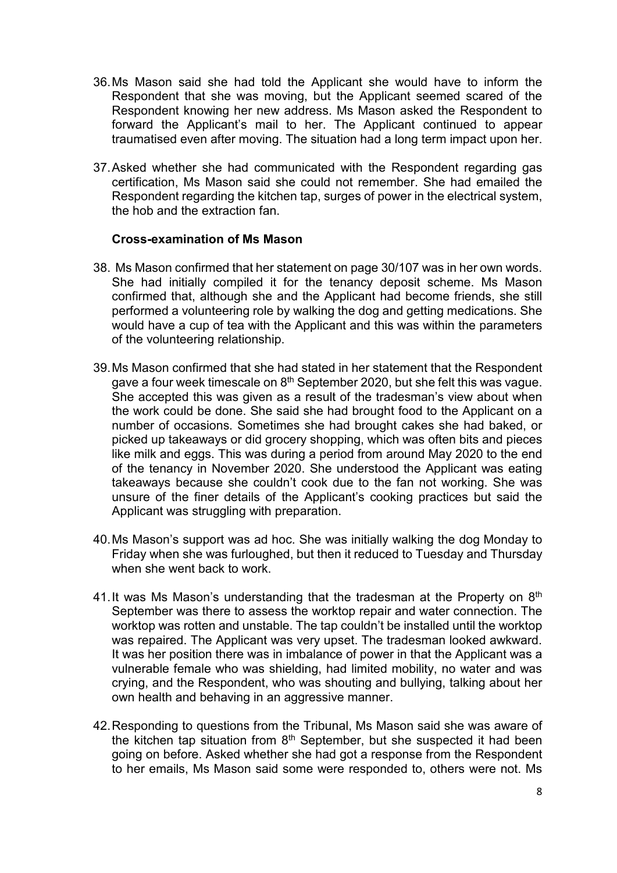- 36.Ms Mason said she had told the Applicant she would have to inform the Respondent that she was moving, but the Applicant seemed scared of the Respondent knowing her new address. Ms Mason asked the Respondent to forward the Applicant's mail to her. The Applicant continued to appear traumatised even after moving. The situation had a long term impact upon her.
- 37.Asked whether she had communicated with the Respondent regarding gas certification, Ms Mason said she could not remember. She had emailed the Respondent regarding the kitchen tap, surges of power in the electrical system, the hob and the extraction fan.

#### **Cross-examination of Ms Mason**

- 38. Ms Mason confirmed that her statement on page 30/107 was in her own words. She had initially compiled it for the tenancy deposit scheme. Ms Mason confirmed that, although she and the Applicant had become friends, she still performed a volunteering role by walking the dog and getting medications. She would have a cup of tea with the Applicant and this was within the parameters of the volunteering relationship.
- 39.Ms Mason confirmed that she had stated in her statement that the Respondent gave a four week timescale on 8<sup>th</sup> September 2020, but she felt this was vague. She accepted this was given as a result of the tradesman's view about when the work could be done. She said she had brought food to the Applicant on a number of occasions. Sometimes she had brought cakes she had baked, or picked up takeaways or did grocery shopping, which was often bits and pieces like milk and eggs. This was during a period from around May 2020 to the end of the tenancy in November 2020. She understood the Applicant was eating takeaways because she couldn't cook due to the fan not working. She was unsure of the finer details of the Applicant's cooking practices but said the Applicant was struggling with preparation.
- 40.Ms Mason's support was ad hoc. She was initially walking the dog Monday to Friday when she was furloughed, but then it reduced to Tuesday and Thursday when she went back to work.
- 41. It was Ms Mason's understanding that the tradesman at the Property on  $8<sup>th</sup>$ September was there to assess the worktop repair and water connection. The worktop was rotten and unstable. The tap couldn't be installed until the worktop was repaired. The Applicant was very upset. The tradesman looked awkward. It was her position there was in imbalance of power in that the Applicant was a vulnerable female who was shielding, had limited mobility, no water and was crying, and the Respondent, who was shouting and bullying, talking about her own health and behaving in an aggressive manner.
- 42.Responding to questions from the Tribunal, Ms Mason said she was aware of the kitchen tap situation from  $8<sup>th</sup>$  September, but she suspected it had been going on before. Asked whether she had got a response from the Respondent to her emails, Ms Mason said some were responded to, others were not. Ms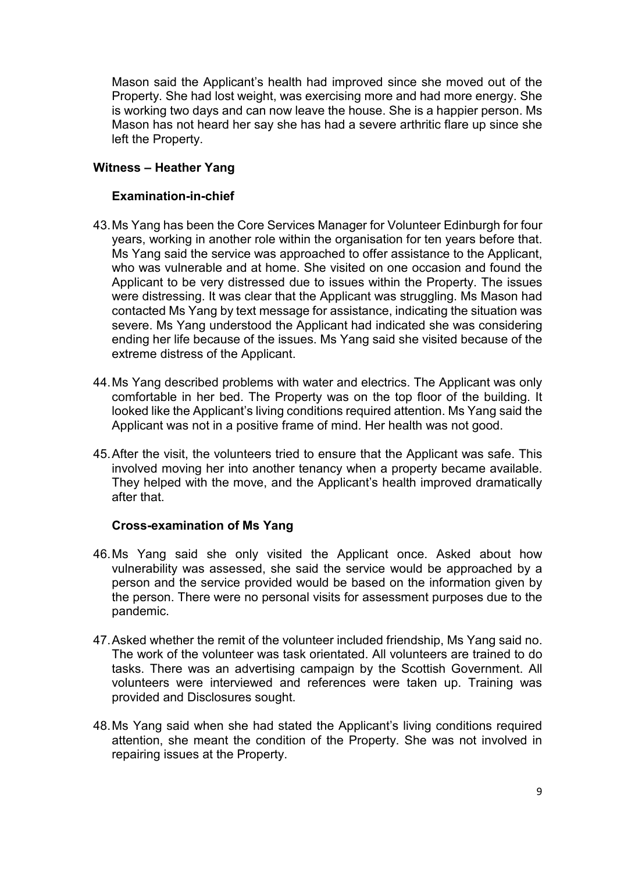Mason said the Applicant's health had improved since she moved out of the Property. She had lost weight, was exercising more and had more energy. She is working two days and can now leave the house. She is a happier person. Ms Mason has not heard her say she has had a severe arthritic flare up since she left the Property.

## **Witness – Heather Yang**

## **Examination-in-chief**

- 43.Ms Yang has been the Core Services Manager for Volunteer Edinburgh for four years, working in another role within the organisation for ten years before that. Ms Yang said the service was approached to offer assistance to the Applicant, who was vulnerable and at home. She visited on one occasion and found the Applicant to be very distressed due to issues within the Property. The issues were distressing. It was clear that the Applicant was struggling. Ms Mason had contacted Ms Yang by text message for assistance, indicating the situation was severe. Ms Yang understood the Applicant had indicated she was considering ending her life because of the issues. Ms Yang said she visited because of the extreme distress of the Applicant.
- 44.Ms Yang described problems with water and electrics. The Applicant was only comfortable in her bed. The Property was on the top floor of the building. It looked like the Applicant's living conditions required attention. Ms Yang said the Applicant was not in a positive frame of mind. Her health was not good.
- 45.After the visit, the volunteers tried to ensure that the Applicant was safe. This involved moving her into another tenancy when a property became available. They helped with the move, and the Applicant's health improved dramatically after that.

## **Cross-examination of Ms Yang**

- 46.Ms Yang said she only visited the Applicant once. Asked about how vulnerability was assessed, she said the service would be approached by a person and the service provided would be based on the information given by the person. There were no personal visits for assessment purposes due to the pandemic.
- 47.Asked whether the remit of the volunteer included friendship, Ms Yang said no. The work of the volunteer was task orientated. All volunteers are trained to do tasks. There was an advertising campaign by the Scottish Government. All volunteers were interviewed and references were taken up. Training was provided and Disclosures sought.
- 48.Ms Yang said when she had stated the Applicant's living conditions required attention, she meant the condition of the Property. She was not involved in repairing issues at the Property.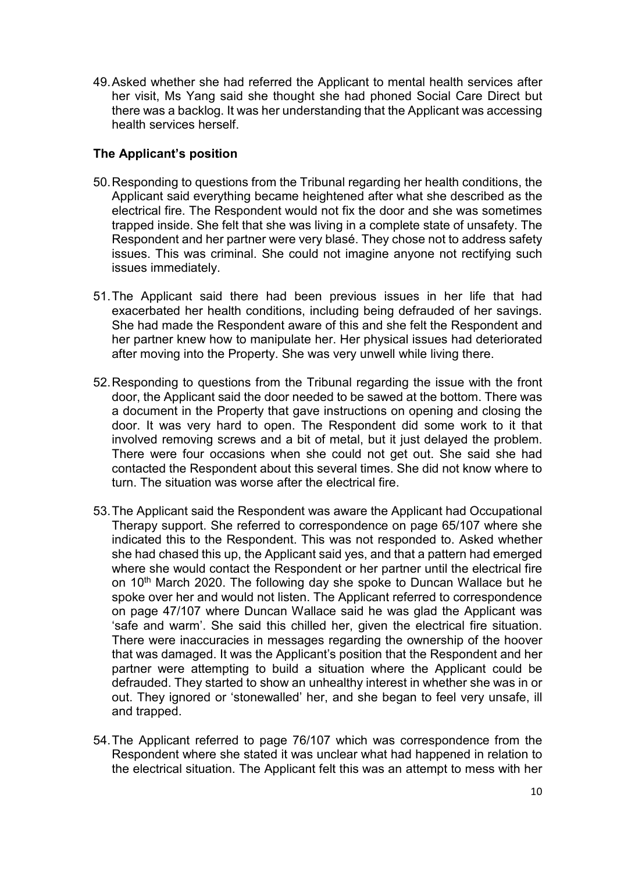49.Asked whether she had referred the Applicant to mental health services after her visit, Ms Yang said she thought she had phoned Social Care Direct but there was a backlog. It was her understanding that the Applicant was accessing health services herself.

## **The Applicant's position**

- 50.Responding to questions from the Tribunal regarding her health conditions, the Applicant said everything became heightened after what she described as the electrical fire. The Respondent would not fix the door and she was sometimes trapped inside. She felt that she was living in a complete state of unsafety. The Respondent and her partner were very blasé. They chose not to address safety issues. This was criminal. She could not imagine anyone not rectifying such issues immediately.
- 51.The Applicant said there had been previous issues in her life that had exacerbated her health conditions, including being defrauded of her savings. She had made the Respondent aware of this and she felt the Respondent and her partner knew how to manipulate her. Her physical issues had deteriorated after moving into the Property. She was very unwell while living there.
- 52.Responding to questions from the Tribunal regarding the issue with the front door, the Applicant said the door needed to be sawed at the bottom. There was a document in the Property that gave instructions on opening and closing the door. It was very hard to open. The Respondent did some work to it that involved removing screws and a bit of metal, but it just delayed the problem. There were four occasions when she could not get out. She said she had contacted the Respondent about this several times. She did not know where to turn. The situation was worse after the electrical fire.
- 53.The Applicant said the Respondent was aware the Applicant had Occupational Therapy support. She referred to correspondence on page 65/107 where she indicated this to the Respondent. This was not responded to. Asked whether she had chased this up, the Applicant said yes, and that a pattern had emerged where she would contact the Respondent or her partner until the electrical fire on 10<sup>th</sup> March 2020. The following day she spoke to Duncan Wallace but he spoke over her and would not listen. The Applicant referred to correspondence on page 47/107 where Duncan Wallace said he was glad the Applicant was 'safe and warm'. She said this chilled her, given the electrical fire situation. There were inaccuracies in messages regarding the ownership of the hoover that was damaged. It was the Applicant's position that the Respondent and her partner were attempting to build a situation where the Applicant could be defrauded. They started to show an unhealthy interest in whether she was in or out. They ignored or 'stonewalled' her, and she began to feel very unsafe, ill and trapped.
- 54.The Applicant referred to page 76/107 which was correspondence from the Respondent where she stated it was unclear what had happened in relation to the electrical situation. The Applicant felt this was an attempt to mess with her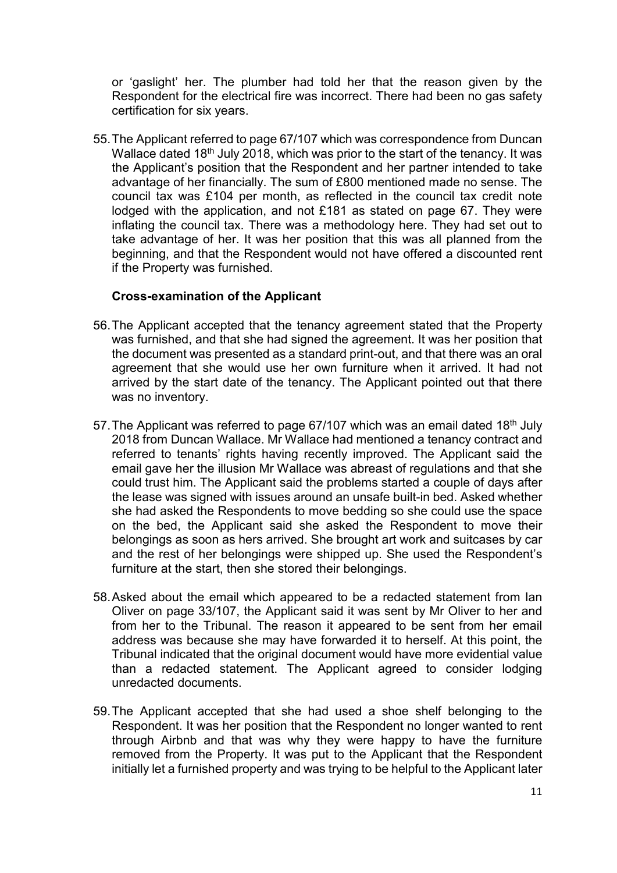or 'gaslight' her. The plumber had told her that the reason given by the Respondent for the electrical fire was incorrect. There had been no gas safety certification for six years.

55.The Applicant referred to page 67/107 which was correspondence from Duncan Wallace dated 18<sup>th</sup> July 2018, which was prior to the start of the tenancy. It was the Applicant's position that the Respondent and her partner intended to take advantage of her financially. The sum of £800 mentioned made no sense. The council tax was £104 per month, as reflected in the council tax credit note lodged with the application, and not £181 as stated on page 67. They were inflating the council tax. There was a methodology here. They had set out to take advantage of her. It was her position that this was all planned from the beginning, and that the Respondent would not have offered a discounted rent if the Property was furnished.

## **Cross-examination of the Applicant**

- 56.The Applicant accepted that the tenancy agreement stated that the Property was furnished, and that she had signed the agreement. It was her position that the document was presented as a standard print-out, and that there was an oral agreement that she would use her own furniture when it arrived. It had not arrived by the start date of the tenancy. The Applicant pointed out that there was no inventory.
- 57. The Applicant was referred to page  $67/107$  which was an email dated 18<sup>th</sup> July 2018 from Duncan Wallace. Mr Wallace had mentioned a tenancy contract and referred to tenants' rights having recently improved. The Applicant said the email gave her the illusion Mr Wallace was abreast of regulations and that she could trust him. The Applicant said the problems started a couple of days after the lease was signed with issues around an unsafe built-in bed. Asked whether she had asked the Respondents to move bedding so she could use the space on the bed, the Applicant said she asked the Respondent to move their belongings as soon as hers arrived. She brought art work and suitcases by car and the rest of her belongings were shipped up. She used the Respondent's furniture at the start, then she stored their belongings.
- 58.Asked about the email which appeared to be a redacted statement from Ian Oliver on page 33/107, the Applicant said it was sent by Mr Oliver to her and from her to the Tribunal. The reason it appeared to be sent from her email address was because she may have forwarded it to herself. At this point, the Tribunal indicated that the original document would have more evidential value than a redacted statement. The Applicant agreed to consider lodging unredacted documents.
- 59.The Applicant accepted that she had used a shoe shelf belonging to the Respondent. It was her position that the Respondent no longer wanted to rent through Airbnb and that was why they were happy to have the furniture removed from the Property. It was put to the Applicant that the Respondent initially let a furnished property and was trying to be helpful to the Applicant later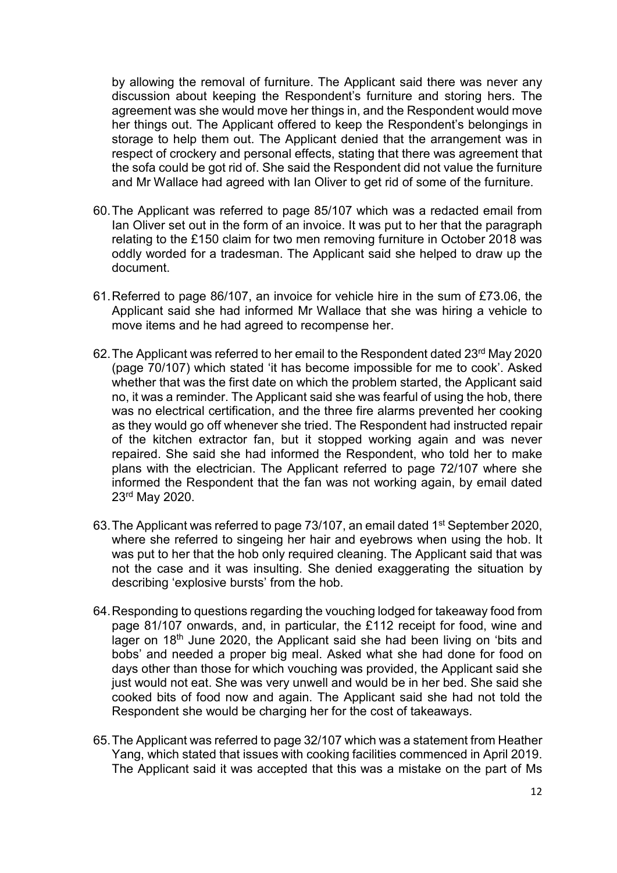by allowing the removal of furniture. The Applicant said there was never any discussion about keeping the Respondent's furniture and storing hers. The agreement was she would move her things in, and the Respondent would move her things out. The Applicant offered to keep the Respondent's belongings in storage to help them out. The Applicant denied that the arrangement was in respect of crockery and personal effects, stating that there was agreement that the sofa could be got rid of. She said the Respondent did not value the furniture and Mr Wallace had agreed with Ian Oliver to get rid of some of the furniture.

- 60.The Applicant was referred to page 85/107 which was a redacted email from Ian Oliver set out in the form of an invoice. It was put to her that the paragraph relating to the £150 claim for two men removing furniture in October 2018 was oddly worded for a tradesman. The Applicant said she helped to draw up the document.
- 61.Referred to page 86/107, an invoice for vehicle hire in the sum of £73.06, the Applicant said she had informed Mr Wallace that she was hiring a vehicle to move items and he had agreed to recompense her.
- 62.The Applicant was referred to her email to the Respondent dated 23rd May 2020 (page 70/107) which stated 'it has become impossible for me to cook'. Asked whether that was the first date on which the problem started, the Applicant said no, it was a reminder. The Applicant said she was fearful of using the hob, there was no electrical certification, and the three fire alarms prevented her cooking as they would go off whenever she tried. The Respondent had instructed repair of the kitchen extractor fan, but it stopped working again and was never repaired. She said she had informed the Respondent, who told her to make plans with the electrician. The Applicant referred to page 72/107 where she informed the Respondent that the fan was not working again, by email dated 23rd May 2020.
- 63.The Applicant was referred to page 73/107, an email dated 1st September 2020, where she referred to singeing her hair and eyebrows when using the hob. It was put to her that the hob only required cleaning. The Applicant said that was not the case and it was insulting. She denied exaggerating the situation by describing 'explosive bursts' from the hob.
- 64.Responding to questions regarding the vouching lodged for takeaway food from page 81/107 onwards, and, in particular, the £112 receipt for food, wine and lager on 18<sup>th</sup> June 2020, the Applicant said she had been living on 'bits and bobs' and needed a proper big meal. Asked what she had done for food on days other than those for which vouching was provided, the Applicant said she just would not eat. She was very unwell and would be in her bed. She said she cooked bits of food now and again. The Applicant said she had not told the Respondent she would be charging her for the cost of takeaways.
- 65.The Applicant was referred to page 32/107 which was a statement from Heather Yang, which stated that issues with cooking facilities commenced in April 2019. The Applicant said it was accepted that this was a mistake on the part of Ms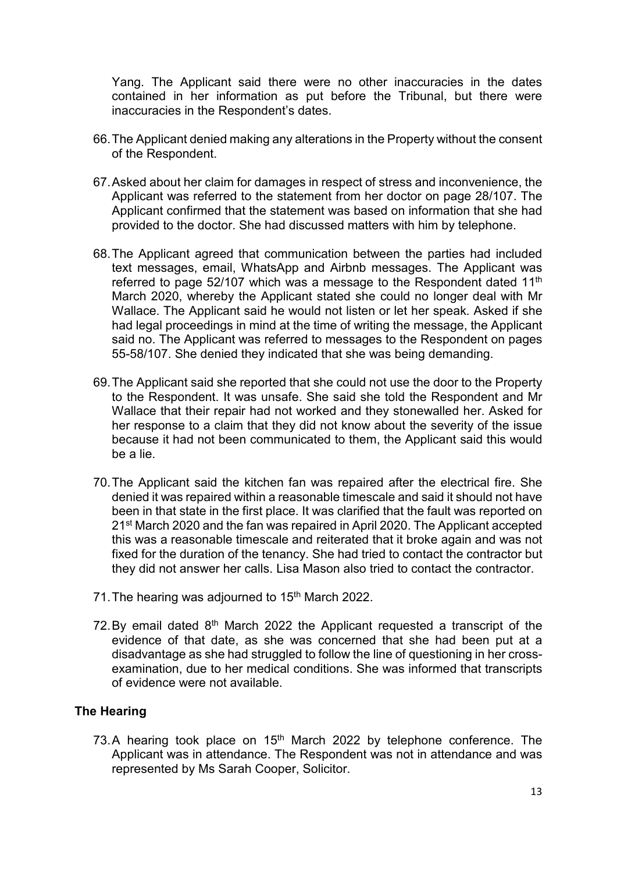Yang. The Applicant said there were no other inaccuracies in the dates contained in her information as put before the Tribunal, but there were inaccuracies in the Respondent's dates.

- 66.The Applicant denied making any alterations in the Property without the consent of the Respondent.
- 67.Asked about her claim for damages in respect of stress and inconvenience, the Applicant was referred to the statement from her doctor on page 28/107. The Applicant confirmed that the statement was based on information that she had provided to the doctor. She had discussed matters with him by telephone.
- 68.The Applicant agreed that communication between the parties had included text messages, email, WhatsApp and Airbnb messages. The Applicant was referred to page 52/107 which was a message to the Respondent dated 11<sup>th</sup> March 2020, whereby the Applicant stated she could no longer deal with Mr Wallace. The Applicant said he would not listen or let her speak. Asked if she had legal proceedings in mind at the time of writing the message, the Applicant said no. The Applicant was referred to messages to the Respondent on pages 55-58/107. She denied they indicated that she was being demanding.
- 69.The Applicant said she reported that she could not use the door to the Property to the Respondent. It was unsafe. She said she told the Respondent and Mr Wallace that their repair had not worked and they stonewalled her. Asked for her response to a claim that they did not know about the severity of the issue because it had not been communicated to them, the Applicant said this would be a lie.
- 70.The Applicant said the kitchen fan was repaired after the electrical fire. She denied it was repaired within a reasonable timescale and said it should not have been in that state in the first place. It was clarified that the fault was reported on 21st March 2020 and the fan was repaired in April 2020. The Applicant accepted this was a reasonable timescale and reiterated that it broke again and was not fixed for the duration of the tenancy. She had tried to contact the contractor but they did not answer her calls. Lisa Mason also tried to contact the contractor.
- 71. The hearing was adjourned to 15<sup>th</sup> March 2022.
- 72. By email dated  $8<sup>th</sup>$  March 2022 the Applicant requested a transcript of the evidence of that date, as she was concerned that she had been put at a disadvantage as she had struggled to follow the line of questioning in her crossexamination, due to her medical conditions. She was informed that transcripts of evidence were not available.

## **The Hearing**

73.A hearing took place on 15<sup>th</sup> March 2022 by telephone conference. The Applicant was in attendance. The Respondent was not in attendance and was represented by Ms Sarah Cooper, Solicitor.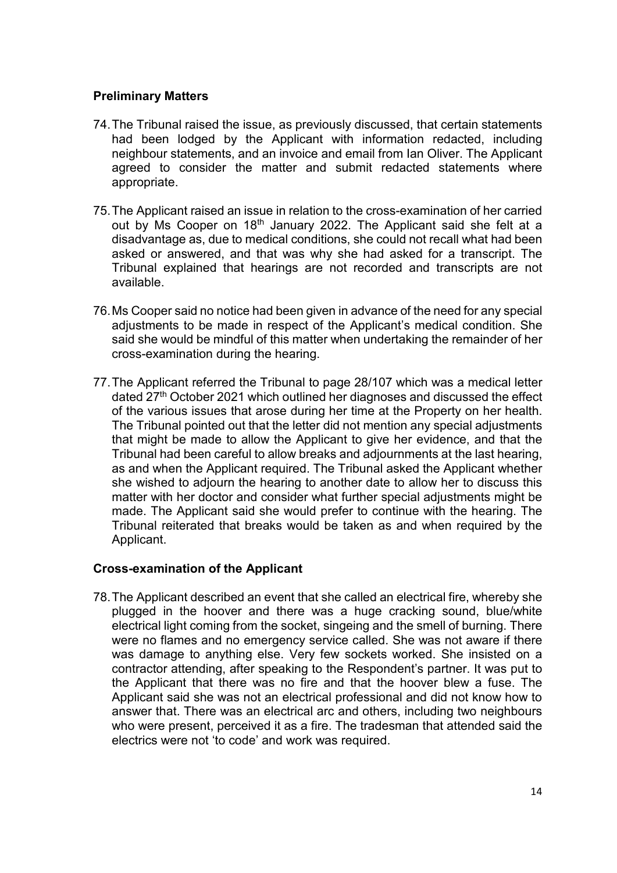## **Preliminary Matters**

- 74.The Tribunal raised the issue, as previously discussed, that certain statements had been lodged by the Applicant with information redacted, including neighbour statements, and an invoice and email from Ian Oliver. The Applicant agreed to consider the matter and submit redacted statements where appropriate.
- 75.The Applicant raised an issue in relation to the cross-examination of her carried out by Ms Cooper on 18<sup>th</sup> January 2022. The Applicant said she felt at a disadvantage as, due to medical conditions, she could not recall what had been asked or answered, and that was why she had asked for a transcript. The Tribunal explained that hearings are not recorded and transcripts are not available.
- 76.Ms Cooper said no notice had been given in advance of the need for any special adjustments to be made in respect of the Applicant's medical condition. She said she would be mindful of this matter when undertaking the remainder of her cross-examination during the hearing.
- 77.The Applicant referred the Tribunal to page 28/107 which was a medical letter dated 27<sup>th</sup> October 2021 which outlined her diagnoses and discussed the effect of the various issues that arose during her time at the Property on her health. The Tribunal pointed out that the letter did not mention any special adjustments that might be made to allow the Applicant to give her evidence, and that the Tribunal had been careful to allow breaks and adjournments at the last hearing, as and when the Applicant required. The Tribunal asked the Applicant whether she wished to adjourn the hearing to another date to allow her to discuss this matter with her doctor and consider what further special adjustments might be made. The Applicant said she would prefer to continue with the hearing. The Tribunal reiterated that breaks would be taken as and when required by the Applicant.

#### **Cross-examination of the Applicant**

78.The Applicant described an event that she called an electrical fire, whereby she plugged in the hoover and there was a huge cracking sound, blue/white electrical light coming from the socket, singeing and the smell of burning. There were no flames and no emergency service called. She was not aware if there was damage to anything else. Very few sockets worked. She insisted on a contractor attending, after speaking to the Respondent's partner. It was put to the Applicant that there was no fire and that the hoover blew a fuse. The Applicant said she was not an electrical professional and did not know how to answer that. There was an electrical arc and others, including two neighbours who were present, perceived it as a fire. The tradesman that attended said the electrics were not 'to code' and work was required.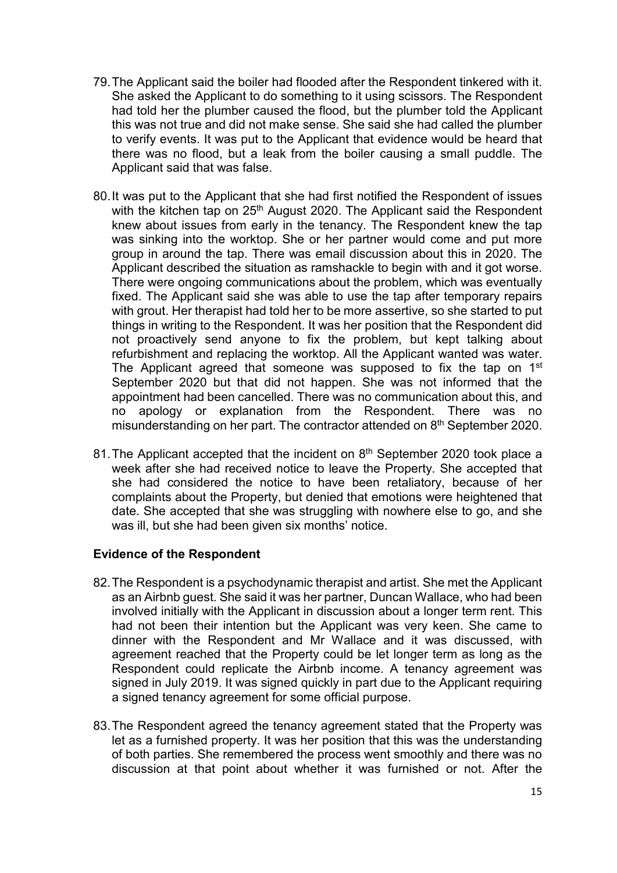- 79.The Applicant said the boiler had flooded after the Respondent tinkered with it. She asked the Applicant to do something to it using scissors. The Respondent had told her the plumber caused the flood, but the plumber told the Applicant this was not true and did not make sense. She said she had called the plumber to verify events. It was put to the Applicant that evidence would be heard that there was no flood, but a leak from the boiler causing a small puddle. The Applicant said that was false.
- 80.It was put to the Applicant that she had first notified the Respondent of issues with the kitchen tap on 25<sup>th</sup> August 2020. The Applicant said the Respondent knew about issues from early in the tenancy. The Respondent knew the tap was sinking into the worktop. She or her partner would come and put more group in around the tap. There was email discussion about this in 2020. The Applicant described the situation as ramshackle to begin with and it got worse. There were ongoing communications about the problem, which was eventually fixed. The Applicant said she was able to use the tap after temporary repairs with grout. Her therapist had told her to be more assertive, so she started to put things in writing to the Respondent. It was her position that the Respondent did not proactively send anyone to fix the problem, but kept talking about refurbishment and replacing the worktop. All the Applicant wanted was water. The Applicant agreed that someone was supposed to fix the tap on 1<sup>st</sup> September 2020 but that did not happen. She was not informed that the appointment had been cancelled. There was no communication about this, and no apology or explanation from the Respondent. There was no misunderstanding on her part. The contractor attended on 8th September 2020.
- 81. The Applicant accepted that the incident on 8<sup>th</sup> September 2020 took place a week after she had received notice to leave the Property. She accepted that she had considered the notice to have been retaliatory, because of her complaints about the Property, but denied that emotions were heightened that date. She accepted that she was struggling with nowhere else to go, and she was ill, but she had been given six months' notice.

## **Evidence of the Respondent**

- 82.The Respondent is a psychodynamic therapist and artist. She met the Applicant as an Airbnb guest. She said it was her partner, Duncan Wallace, who had been involved initially with the Applicant in discussion about a longer term rent. This had not been their intention but the Applicant was very keen. She came to dinner with the Respondent and Mr Wallace and it was discussed, with agreement reached that the Property could be let longer term as long as the Respondent could replicate the Airbnb income. A tenancy agreement was signed in July 2019. It was signed quickly in part due to the Applicant requiring a signed tenancy agreement for some official purpose.
- 83.The Respondent agreed the tenancy agreement stated that the Property was let as a furnished property. It was her position that this was the understanding of both parties. She remembered the process went smoothly and there was no discussion at that point about whether it was furnished or not. After the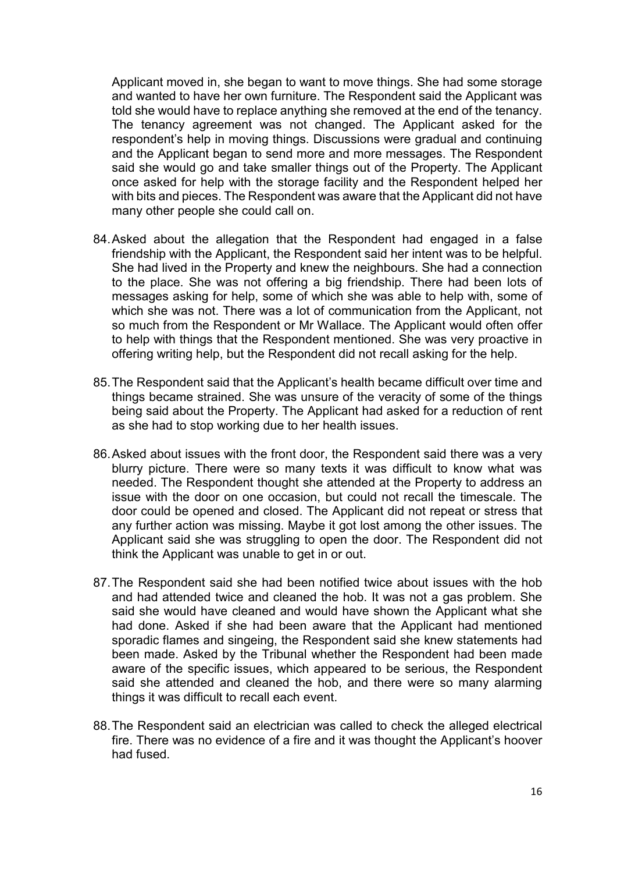Applicant moved in, she began to want to move things. She had some storage and wanted to have her own furniture. The Respondent said the Applicant was told she would have to replace anything she removed at the end of the tenancy. The tenancy agreement was not changed. The Applicant asked for the respondent's help in moving things. Discussions were gradual and continuing and the Applicant began to send more and more messages. The Respondent said she would go and take smaller things out of the Property. The Applicant once asked for help with the storage facility and the Respondent helped her with bits and pieces. The Respondent was aware that the Applicant did not have many other people she could call on.

- 84.Asked about the allegation that the Respondent had engaged in a false friendship with the Applicant, the Respondent said her intent was to be helpful. She had lived in the Property and knew the neighbours. She had a connection to the place. She was not offering a big friendship. There had been lots of messages asking for help, some of which she was able to help with, some of which she was not. There was a lot of communication from the Applicant, not so much from the Respondent or Mr Wallace. The Applicant would often offer to help with things that the Respondent mentioned. She was very proactive in offering writing help, but the Respondent did not recall asking for the help.
- 85.The Respondent said that the Applicant's health became difficult over time and things became strained. She was unsure of the veracity of some of the things being said about the Property. The Applicant had asked for a reduction of rent as she had to stop working due to her health issues.
- 86.Asked about issues with the front door, the Respondent said there was a very blurry picture. There were so many texts it was difficult to know what was needed. The Respondent thought she attended at the Property to address an issue with the door on one occasion, but could not recall the timescale. The door could be opened and closed. The Applicant did not repeat or stress that any further action was missing. Maybe it got lost among the other issues. The Applicant said she was struggling to open the door. The Respondent did not think the Applicant was unable to get in or out.
- 87.The Respondent said she had been notified twice about issues with the hob and had attended twice and cleaned the hob. It was not a gas problem. She said she would have cleaned and would have shown the Applicant what she had done. Asked if she had been aware that the Applicant had mentioned sporadic flames and singeing, the Respondent said she knew statements had been made. Asked by the Tribunal whether the Respondent had been made aware of the specific issues, which appeared to be serious, the Respondent said she attended and cleaned the hob, and there were so many alarming things it was difficult to recall each event.
- 88.The Respondent said an electrician was called to check the alleged electrical fire. There was no evidence of a fire and it was thought the Applicant's hoover had fused.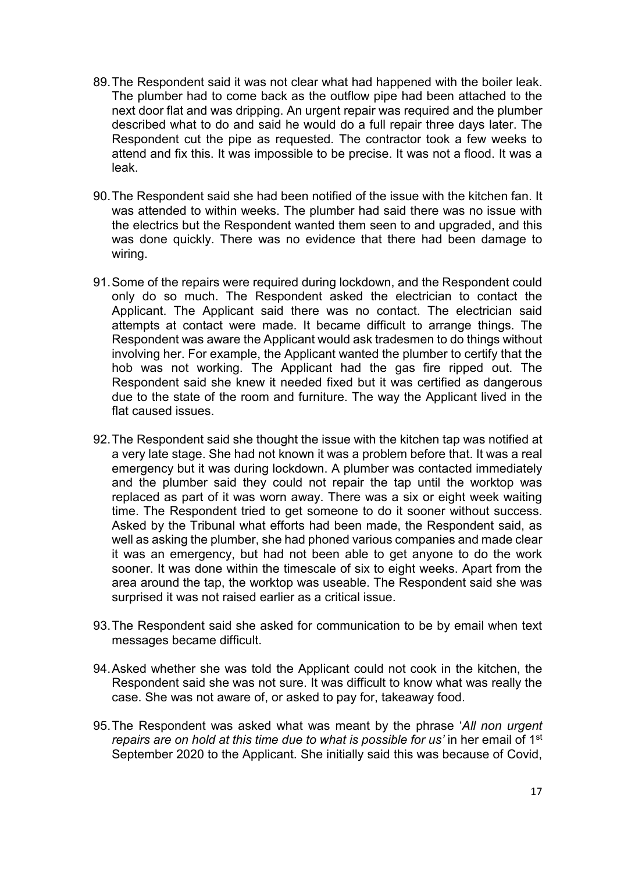- 89.The Respondent said it was not clear what had happened with the boiler leak. The plumber had to come back as the outflow pipe had been attached to the next door flat and was dripping. An urgent repair was required and the plumber described what to do and said he would do a full repair three days later. The Respondent cut the pipe as requested. The contractor took a few weeks to attend and fix this. It was impossible to be precise. It was not a flood. It was a leak.
- 90.The Respondent said she had been notified of the issue with the kitchen fan. It was attended to within weeks. The plumber had said there was no issue with the electrics but the Respondent wanted them seen to and upgraded, and this was done quickly. There was no evidence that there had been damage to wiring.
- 91.Some of the repairs were required during lockdown, and the Respondent could only do so much. The Respondent asked the electrician to contact the Applicant. The Applicant said there was no contact. The electrician said attempts at contact were made. It became difficult to arrange things. The Respondent was aware the Applicant would ask tradesmen to do things without involving her. For example, the Applicant wanted the plumber to certify that the hob was not working. The Applicant had the gas fire ripped out. The Respondent said she knew it needed fixed but it was certified as dangerous due to the state of the room and furniture. The way the Applicant lived in the flat caused issues.
- 92.The Respondent said she thought the issue with the kitchen tap was notified at a very late stage. She had not known it was a problem before that. It was a real emergency but it was during lockdown. A plumber was contacted immediately and the plumber said they could not repair the tap until the worktop was replaced as part of it was worn away. There was a six or eight week waiting time. The Respondent tried to get someone to do it sooner without success. Asked by the Tribunal what efforts had been made, the Respondent said, as well as asking the plumber, she had phoned various companies and made clear it was an emergency, but had not been able to get anyone to do the work sooner. It was done within the timescale of six to eight weeks. Apart from the area around the tap, the worktop was useable. The Respondent said she was surprised it was not raised earlier as a critical issue.
- 93.The Respondent said she asked for communication to be by email when text messages became difficult.
- 94.Asked whether she was told the Applicant could not cook in the kitchen, the Respondent said she was not sure. It was difficult to know what was really the case. She was not aware of, or asked to pay for, takeaway food.
- 95.The Respondent was asked what was meant by the phrase '*All non urgent repairs are on hold at this time due to what is possible for us'* in her email of 1st September 2020 to the Applicant. She initially said this was because of Covid,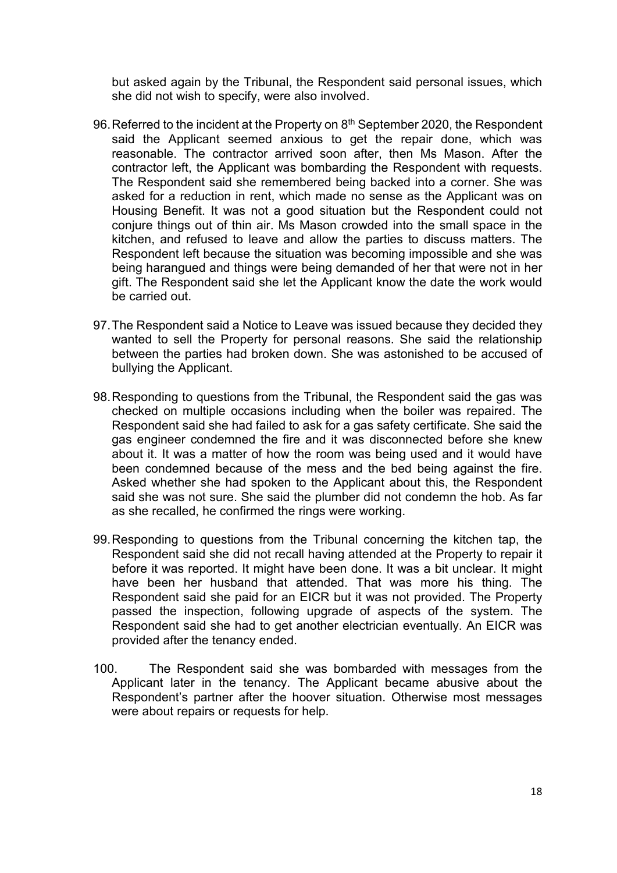but asked again by the Tribunal, the Respondent said personal issues, which she did not wish to specify, were also involved.

- 96. Referred to the incident at the Property on 8<sup>th</sup> September 2020, the Respondent said the Applicant seemed anxious to get the repair done, which was reasonable. The contractor arrived soon after, then Ms Mason. After the contractor left, the Applicant was bombarding the Respondent with requests. The Respondent said she remembered being backed into a corner. She was asked for a reduction in rent, which made no sense as the Applicant was on Housing Benefit. It was not a good situation but the Respondent could not conjure things out of thin air. Ms Mason crowded into the small space in the kitchen, and refused to leave and allow the parties to discuss matters. The Respondent left because the situation was becoming impossible and she was being harangued and things were being demanded of her that were not in her gift. The Respondent said she let the Applicant know the date the work would be carried out.
- 97.The Respondent said a Notice to Leave was issued because they decided they wanted to sell the Property for personal reasons. She said the relationship between the parties had broken down. She was astonished to be accused of bullying the Applicant.
- 98.Responding to questions from the Tribunal, the Respondent said the gas was checked on multiple occasions including when the boiler was repaired. The Respondent said she had failed to ask for a gas safety certificate. She said the gas engineer condemned the fire and it was disconnected before she knew about it. It was a matter of how the room was being used and it would have been condemned because of the mess and the bed being against the fire. Asked whether she had spoken to the Applicant about this, the Respondent said she was not sure. She said the plumber did not condemn the hob. As far as she recalled, he confirmed the rings were working.
- 99.Responding to questions from the Tribunal concerning the kitchen tap, the Respondent said she did not recall having attended at the Property to repair it before it was reported. It might have been done. It was a bit unclear. It might have been her husband that attended. That was more his thing. The Respondent said she paid for an EICR but it was not provided. The Property passed the inspection, following upgrade of aspects of the system. The Respondent said she had to get another electrician eventually. An EICR was provided after the tenancy ended.
- 100. The Respondent said she was bombarded with messages from the Applicant later in the tenancy. The Applicant became abusive about the Respondent's partner after the hoover situation. Otherwise most messages were about repairs or requests for help.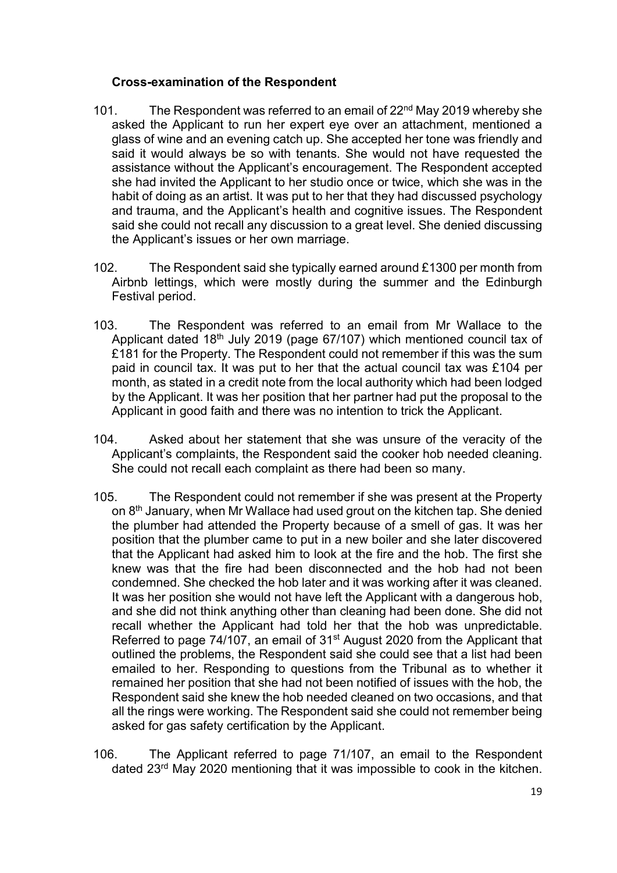## **Cross-examination of the Respondent**

- 101. The Respondent was referred to an email of 22<sup>nd</sup> May 2019 whereby she asked the Applicant to run her expert eye over an attachment, mentioned a glass of wine and an evening catch up. She accepted her tone was friendly and said it would always be so with tenants. She would not have requested the assistance without the Applicant's encouragement. The Respondent accepted she had invited the Applicant to her studio once or twice, which she was in the habit of doing as an artist. It was put to her that they had discussed psychology and trauma, and the Applicant's health and cognitive issues. The Respondent said she could not recall any discussion to a great level. She denied discussing the Applicant's issues or her own marriage.
- 102. The Respondent said she typically earned around £1300 per month from Airbnb lettings, which were mostly during the summer and the Edinburgh Festival period.
- 103. The Respondent was referred to an email from Mr Wallace to the Applicant dated 18th July 2019 (page 67/107) which mentioned council tax of £181 for the Property. The Respondent could not remember if this was the sum paid in council tax. It was put to her that the actual council tax was £104 per month, as stated in a credit note from the local authority which had been lodged by the Applicant. It was her position that her partner had put the proposal to the Applicant in good faith and there was no intention to trick the Applicant.
- 104. Asked about her statement that she was unsure of the veracity of the Applicant's complaints, the Respondent said the cooker hob needed cleaning. She could not recall each complaint as there had been so many.
- 105. The Respondent could not remember if she was present at the Property on 8th January, when Mr Wallace had used grout on the kitchen tap. She denied the plumber had attended the Property because of a smell of gas. It was her position that the plumber came to put in a new boiler and she later discovered that the Applicant had asked him to look at the fire and the hob. The first she knew was that the fire had been disconnected and the hob had not been condemned. She checked the hob later and it was working after it was cleaned. It was her position she would not have left the Applicant with a dangerous hob, and she did not think anything other than cleaning had been done. She did not recall whether the Applicant had told her that the hob was unpredictable. Referred to page 74/107, an email of 31st August 2020 from the Applicant that outlined the problems, the Respondent said she could see that a list had been emailed to her. Responding to questions from the Tribunal as to whether it remained her position that she had not been notified of issues with the hob, the Respondent said she knew the hob needed cleaned on two occasions, and that all the rings were working. The Respondent said she could not remember being asked for gas safety certification by the Applicant.
- 106. The Applicant referred to page 71/107, an email to the Respondent dated 23rd May 2020 mentioning that it was impossible to cook in the kitchen.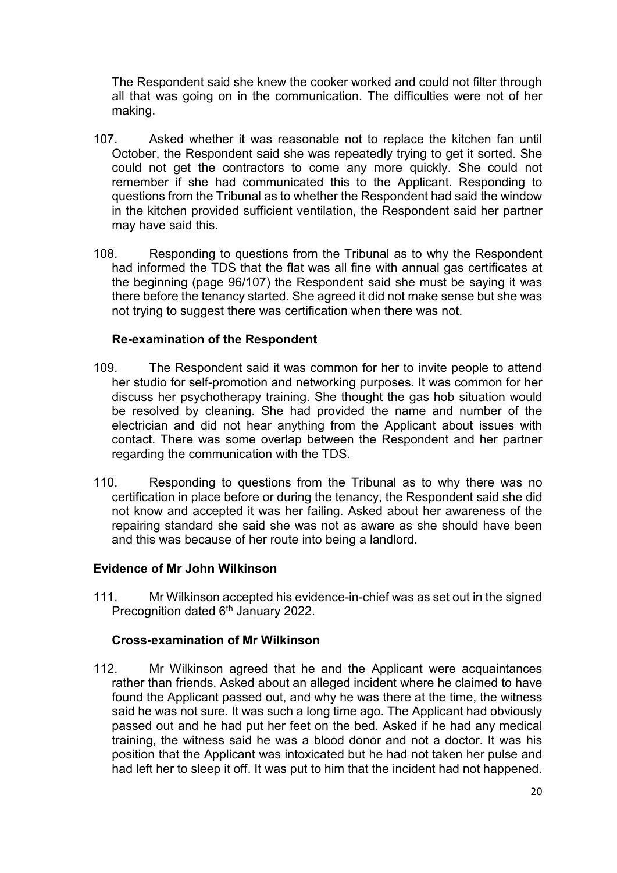The Respondent said she knew the cooker worked and could not filter through all that was going on in the communication. The difficulties were not of her making.

- 107. Asked whether it was reasonable not to replace the kitchen fan until October, the Respondent said she was repeatedly trying to get it sorted. She could not get the contractors to come any more quickly. She could not remember if she had communicated this to the Applicant. Responding to questions from the Tribunal as to whether the Respondent had said the window in the kitchen provided sufficient ventilation, the Respondent said her partner may have said this.
- 108. Responding to questions from the Tribunal as to why the Respondent had informed the TDS that the flat was all fine with annual gas certificates at the beginning (page 96/107) the Respondent said she must be saying it was there before the tenancy started. She agreed it did not make sense but she was not trying to suggest there was certification when there was not.

## **Re-examination of the Respondent**

- 109. The Respondent said it was common for her to invite people to attend her studio for self-promotion and networking purposes. It was common for her discuss her psychotherapy training. She thought the gas hob situation would be resolved by cleaning. She had provided the name and number of the electrician and did not hear anything from the Applicant about issues with contact. There was some overlap between the Respondent and her partner regarding the communication with the TDS.
- 110. Responding to questions from the Tribunal as to why there was no certification in place before or during the tenancy, the Respondent said she did not know and accepted it was her failing. Asked about her awareness of the repairing standard she said she was not as aware as she should have been and this was because of her route into being a landlord.

## **Evidence of Mr John Wilkinson**

111. Mr Wilkinson accepted his evidence-in-chief was as set out in the signed Precognition dated 6<sup>th</sup> January 2022.

## **Cross-examination of Mr Wilkinson**

112. Mr Wilkinson agreed that he and the Applicant were acquaintances rather than friends. Asked about an alleged incident where he claimed to have found the Applicant passed out, and why he was there at the time, the witness said he was not sure. It was such a long time ago. The Applicant had obviously passed out and he had put her feet on the bed. Asked if he had any medical training, the witness said he was a blood donor and not a doctor. It was his position that the Applicant was intoxicated but he had not taken her pulse and had left her to sleep it off. It was put to him that the incident had not happened.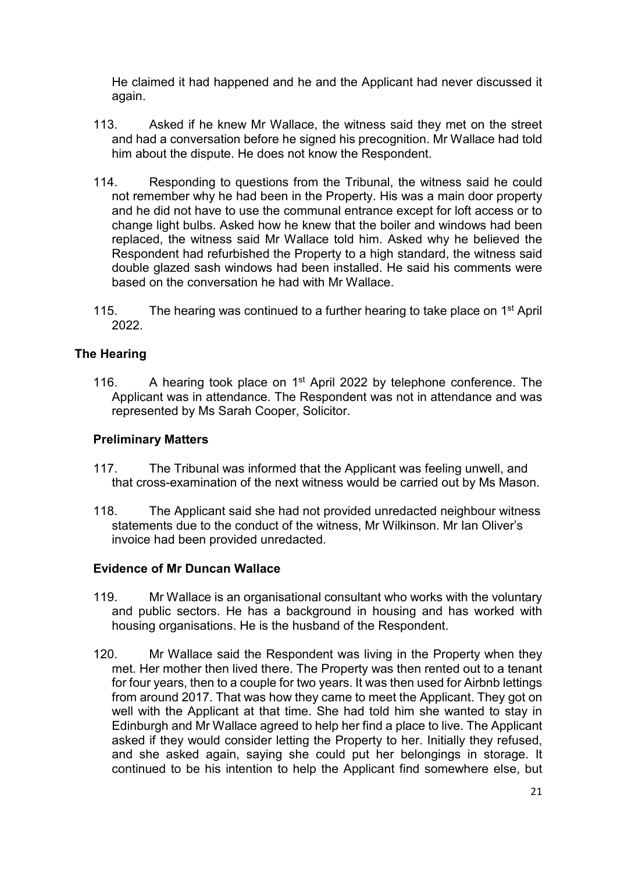He claimed it had happened and he and the Applicant had never discussed it again.

- 113. Asked if he knew Mr Wallace, the witness said they met on the street and had a conversation before he signed his precognition. Mr Wallace had told him about the dispute. He does not know the Respondent.
- 114. Responding to questions from the Tribunal, the witness said he could not remember why he had been in the Property. His was a main door property and he did not have to use the communal entrance except for loft access or to change light bulbs. Asked how he knew that the boiler and windows had been replaced, the witness said Mr Wallace told him. Asked why he believed the Respondent had refurbished the Property to a high standard, the witness said double glazed sash windows had been installed. He said his comments were based on the conversation he had with Mr Wallace.
- 115. The hearing was continued to a further hearing to take place on  $1<sup>st</sup>$  April 2022.

## **The Hearing**

116. A hearing took place on  $1<sup>st</sup>$  April 2022 by telephone conference. The Applicant was in attendance. The Respondent was not in attendance and was represented by Ms Sarah Cooper, Solicitor.

## **Preliminary Matters**

- 117. The Tribunal was informed that the Applicant was feeling unwell, and that cross-examination of the next witness would be carried out by Ms Mason.
- 118. The Applicant said she had not provided unredacted neighbour witness statements due to the conduct of the witness, Mr Wilkinson. Mr Ian Oliver's invoice had been provided unredacted.

#### **Evidence of Mr Duncan Wallace**

- 119. Mr Wallace is an organisational consultant who works with the voluntary and public sectors. He has a background in housing and has worked with housing organisations. He is the husband of the Respondent.
- 120. Mr Wallace said the Respondent was living in the Property when they met. Her mother then lived there. The Property was then rented out to a tenant for four years, then to a couple for two years. It was then used for Airbnb lettings from around 2017. That was how they came to meet the Applicant. They got on well with the Applicant at that time. She had told him she wanted to stay in Edinburgh and Mr Wallace agreed to help her find a place to live. The Applicant asked if they would consider letting the Property to her. Initially they refused, and she asked again, saying she could put her belongings in storage. It continued to be his intention to help the Applicant find somewhere else, but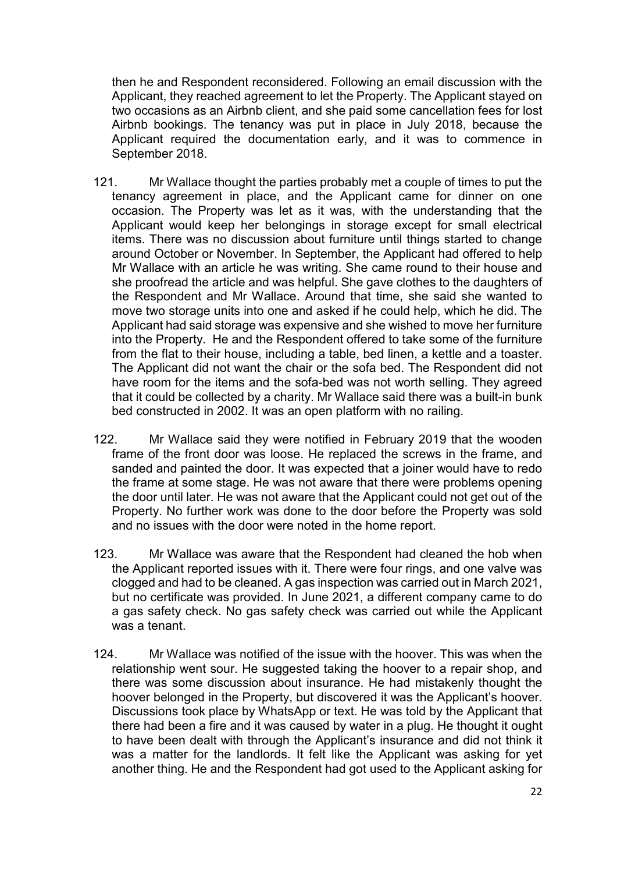then he and Respondent reconsidered. Following an email discussion with the Applicant, they reached agreement to let the Property. The Applicant stayed on two occasions as an Airbnb client, and she paid some cancellation fees for lost Airbnb bookings. The tenancy was put in place in July 2018, because the Applicant required the documentation early, and it was to commence in September 2018.

- 121. Mr Wallace thought the parties probably met a couple of times to put the tenancy agreement in place, and the Applicant came for dinner on one occasion. The Property was let as it was, with the understanding that the Applicant would keep her belongings in storage except for small electrical items. There was no discussion about furniture until things started to change around October or November. In September, the Applicant had offered to help Mr Wallace with an article he was writing. She came round to their house and she proofread the article and was helpful. She gave clothes to the daughters of the Respondent and Mr Wallace. Around that time, she said she wanted to move two storage units into one and asked if he could help, which he did. The Applicant had said storage was expensive and she wished to move her furniture into the Property. He and the Respondent offered to take some of the furniture from the flat to their house, including a table, bed linen, a kettle and a toaster. The Applicant did not want the chair or the sofa bed. The Respondent did not have room for the items and the sofa-bed was not worth selling. They agreed that it could be collected by a charity. Mr Wallace said there was a built-in bunk bed constructed in 2002. It was an open platform with no railing.
- 122. Mr Wallace said they were notified in February 2019 that the wooden frame of the front door was loose. He replaced the screws in the frame, and sanded and painted the door. It was expected that a joiner would have to redo the frame at some stage. He was not aware that there were problems opening the door until later. He was not aware that the Applicant could not get out of the Property. No further work was done to the door before the Property was sold and no issues with the door were noted in the home report.
- 123. Mr Wallace was aware that the Respondent had cleaned the hob when the Applicant reported issues with it. There were four rings, and one valve was clogged and had to be cleaned. A gas inspection was carried out in March 2021, but no certificate was provided. In June 2021, a different company came to do a gas safety check. No gas safety check was carried out while the Applicant was a tenant.
- 124. Mr Wallace was notified of the issue with the hoover. This was when the relationship went sour. He suggested taking the hoover to a repair shop, and there was some discussion about insurance. He had mistakenly thought the hoover belonged in the Property, but discovered it was the Applicant's hoover. Discussions took place by WhatsApp or text. He was told by the Applicant that there had been a fire and it was caused by water in a plug. He thought it ought to have been dealt with through the Applicant's insurance and did not think it was a matter for the landlords. It felt like the Applicant was asking for yet another thing. He and the Respondent had got used to the Applicant asking for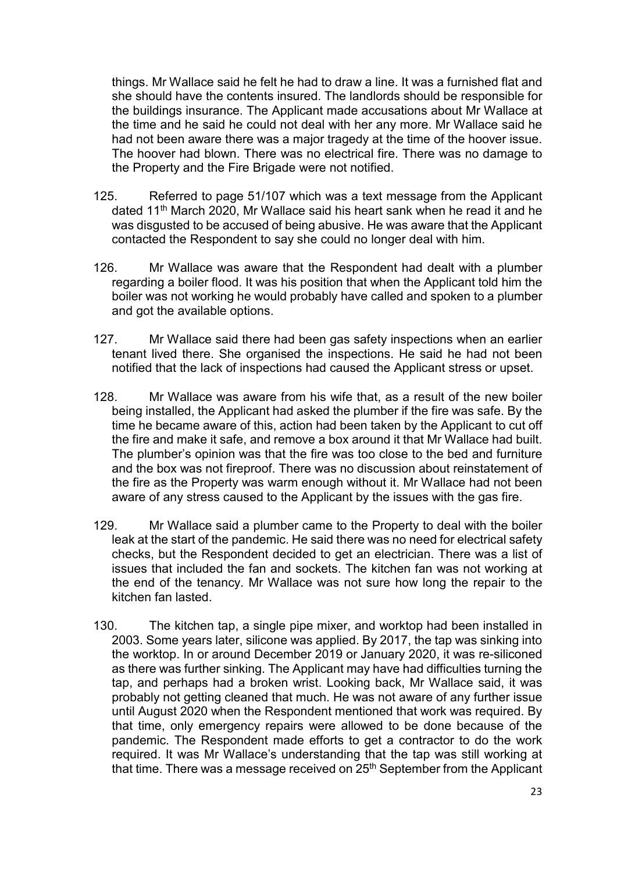things. Mr Wallace said he felt he had to draw a line. It was a furnished flat and she should have the contents insured. The landlords should be responsible for the buildings insurance. The Applicant made accusations about Mr Wallace at the time and he said he could not deal with her any more. Mr Wallace said he had not been aware there was a major tragedy at the time of the hoover issue. The hoover had blown. There was no electrical fire. There was no damage to the Property and the Fire Brigade were not notified.

- 125. Referred to page 51/107 which was a text message from the Applicant dated 11th March 2020, Mr Wallace said his heart sank when he read it and he was disgusted to be accused of being abusive. He was aware that the Applicant contacted the Respondent to say she could no longer deal with him.
- 126. Mr Wallace was aware that the Respondent had dealt with a plumber regarding a boiler flood. It was his position that when the Applicant told him the boiler was not working he would probably have called and spoken to a plumber and got the available options.
- 127. Mr Wallace said there had been gas safety inspections when an earlier tenant lived there. She organised the inspections. He said he had not been notified that the lack of inspections had caused the Applicant stress or upset.
- 128. Mr Wallace was aware from his wife that, as a result of the new boiler being installed, the Applicant had asked the plumber if the fire was safe. By the time he became aware of this, action had been taken by the Applicant to cut off the fire and make it safe, and remove a box around it that Mr Wallace had built. The plumber's opinion was that the fire was too close to the bed and furniture and the box was not fireproof. There was no discussion about reinstatement of the fire as the Property was warm enough without it. Mr Wallace had not been aware of any stress caused to the Applicant by the issues with the gas fire.
- 129. Mr Wallace said a plumber came to the Property to deal with the boiler leak at the start of the pandemic. He said there was no need for electrical safety checks, but the Respondent decided to get an electrician. There was a list of issues that included the fan and sockets. The kitchen fan was not working at the end of the tenancy. Mr Wallace was not sure how long the repair to the kitchen fan lasted.
- 130. The kitchen tap, a single pipe mixer, and worktop had been installed in 2003. Some years later, silicone was applied. By 2017, the tap was sinking into the worktop. In or around December 2019 or January 2020, it was re-siliconed as there was further sinking. The Applicant may have had difficulties turning the tap, and perhaps had a broken wrist. Looking back, Mr Wallace said, it was probably not getting cleaned that much. He was not aware of any further issue until August 2020 when the Respondent mentioned that work was required. By that time, only emergency repairs were allowed to be done because of the pandemic. The Respondent made efforts to get a contractor to do the work required. It was Mr Wallace's understanding that the tap was still working at that time. There was a message received on 25th September from the Applicant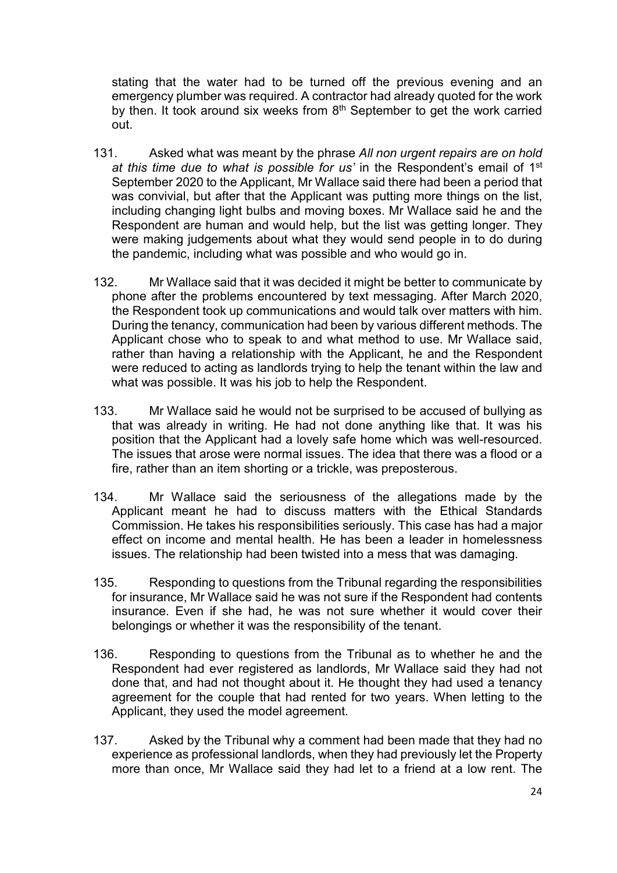stating that the water had to be turned off the previous evening and an emergency plumber was required. A contractor had already quoted for the work by then. It took around six weeks from  $8<sup>th</sup>$  September to get the work carried out.

- 131. Asked what was meant by the phrase *All non urgent repairs are on hold at this time due to what is possible for us'* in the Respondent's email of 1st September 2020 to the Applicant, Mr Wallace said there had been a period that was convivial, but after that the Applicant was putting more things on the list, including changing light bulbs and moving boxes. Mr Wallace said he and the Respondent are human and would help, but the list was getting longer. They were making judgements about what they would send people in to do during the pandemic, including what was possible and who would go in.
- 132. Mr Wallace said that it was decided it might be better to communicate by phone after the problems encountered by text messaging. After March 2020, the Respondent took up communications and would talk over matters with him. During the tenancy, communication had been by various different methods. The Applicant chose who to speak to and what method to use. Mr Wallace said, rather than having a relationship with the Applicant, he and the Respondent were reduced to acting as landlords trying to help the tenant within the law and what was possible. It was his job to help the Respondent.
- 133. Mr Wallace said he would not be surprised to be accused of bullying as that was already in writing. He had not done anything like that. It was his position that the Applicant had a lovely safe home which was well-resourced. The issues that arose were normal issues. The idea that there was a flood or a fire, rather than an item shorting or a trickle, was preposterous.
- 134. Mr Wallace said the seriousness of the allegations made by the Applicant meant he had to discuss matters with the Ethical Standards Commission. He takes his responsibilities seriously. This case has had a major effect on income and mental health. He has been a leader in homelessness issues. The relationship had been twisted into a mess that was damaging.
- 135. Responding to questions from the Tribunal regarding the responsibilities for insurance, Mr Wallace said he was not sure if the Respondent had contents insurance. Even if she had, he was not sure whether it would cover their belongings or whether it was the responsibility of the tenant.
- 136. Responding to questions from the Tribunal as to whether he and the Respondent had ever registered as landlords, Mr Wallace said they had not done that, and had not thought about it. He thought they had used a tenancy agreement for the couple that had rented for two years. When letting to the Applicant, they used the model agreement.
- 137. Asked by the Tribunal why a comment had been made that they had no experience as professional landlords, when they had previously let the Property more than once, Mr Wallace said they had let to a friend at a low rent. The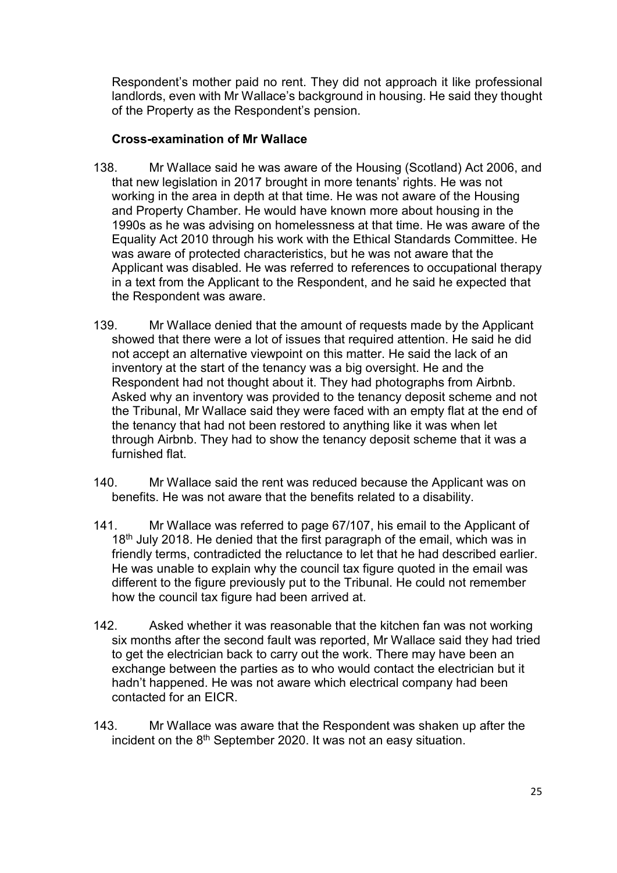Respondent's mother paid no rent. They did not approach it like professional landlords, even with Mr Wallace's background in housing. He said they thought of the Property as the Respondent's pension.

## **Cross-examination of Mr Wallace**

- 138. Mr Wallace said he was aware of the Housing (Scotland) Act 2006, and that new legislation in 2017 brought in more tenants' rights. He was not working in the area in depth at that time. He was not aware of the Housing and Property Chamber. He would have known more about housing in the 1990s as he was advising on homelessness at that time. He was aware of the Equality Act 2010 through his work with the Ethical Standards Committee. He was aware of protected characteristics, but he was not aware that the Applicant was disabled. He was referred to references to occupational therapy in a text from the Applicant to the Respondent, and he said he expected that the Respondent was aware.
- 139. Mr Wallace denied that the amount of requests made by the Applicant showed that there were a lot of issues that required attention. He said he did not accept an alternative viewpoint on this matter. He said the lack of an inventory at the start of the tenancy was a big oversight. He and the Respondent had not thought about it. They had photographs from Airbnb. Asked why an inventory was provided to the tenancy deposit scheme and not the Tribunal, Mr Wallace said they were faced with an empty flat at the end of the tenancy that had not been restored to anything like it was when let through Airbnb. They had to show the tenancy deposit scheme that it was a furnished flat.
- 140. Mr Wallace said the rent was reduced because the Applicant was on benefits. He was not aware that the benefits related to a disability.
- 141. Mr Wallace was referred to page 67/107, his email to the Applicant of 18<sup>th</sup> July 2018. He denied that the first paragraph of the email, which was in friendly terms, contradicted the reluctance to let that he had described earlier. He was unable to explain why the council tax figure quoted in the email was different to the figure previously put to the Tribunal. He could not remember how the council tax figure had been arrived at.
- 142. Asked whether it was reasonable that the kitchen fan was not working six months after the second fault was reported, Mr Wallace said they had tried to get the electrician back to carry out the work. There may have been an exchange between the parties as to who would contact the electrician but it hadn't happened. He was not aware which electrical company had been contacted for an EICR.
- 143. Mr Wallace was aware that the Respondent was shaken up after the incident on the 8th September 2020. It was not an easy situation.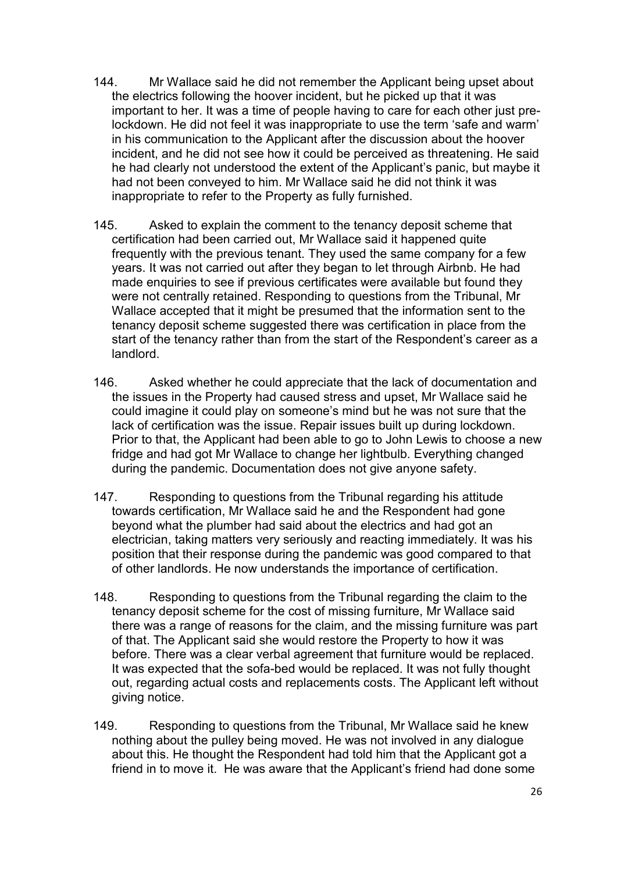- 144. Mr Wallace said he did not remember the Applicant being upset about the electrics following the hoover incident, but he picked up that it was important to her. It was a time of people having to care for each other just prelockdown. He did not feel it was inappropriate to use the term 'safe and warm' in his communication to the Applicant after the discussion about the hoover incident, and he did not see how it could be perceived as threatening. He said he had clearly not understood the extent of the Applicant's panic, but maybe it had not been conveyed to him. Mr Wallace said he did not think it was inappropriate to refer to the Property as fully furnished.
- 145. Asked to explain the comment to the tenancy deposit scheme that certification had been carried out, Mr Wallace said it happened quite frequently with the previous tenant. They used the same company for a few years. It was not carried out after they began to let through Airbnb. He had made enquiries to see if previous certificates were available but found they were not centrally retained. Responding to questions from the Tribunal, Mr Wallace accepted that it might be presumed that the information sent to the tenancy deposit scheme suggested there was certification in place from the start of the tenancy rather than from the start of the Respondent's career as a landlord.
- 146. Asked whether he could appreciate that the lack of documentation and the issues in the Property had caused stress and upset, Mr Wallace said he could imagine it could play on someone's mind but he was not sure that the lack of certification was the issue. Repair issues built up during lockdown. Prior to that, the Applicant had been able to go to John Lewis to choose a new fridge and had got Mr Wallace to change her lightbulb. Everything changed during the pandemic. Documentation does not give anyone safety.
- 147. Responding to questions from the Tribunal regarding his attitude towards certification, Mr Wallace said he and the Respondent had gone beyond what the plumber had said about the electrics and had got an electrician, taking matters very seriously and reacting immediately. It was his position that their response during the pandemic was good compared to that of other landlords. He now understands the importance of certification.
- 148. Responding to questions from the Tribunal regarding the claim to the tenancy deposit scheme for the cost of missing furniture, Mr Wallace said there was a range of reasons for the claim, and the missing furniture was part of that. The Applicant said she would restore the Property to how it was before. There was a clear verbal agreement that furniture would be replaced. It was expected that the sofa-bed would be replaced. It was not fully thought out, regarding actual costs and replacements costs. The Applicant left without giving notice.
- 149. Responding to questions from the Tribunal, Mr Wallace said he knew nothing about the pulley being moved. He was not involved in any dialogue about this. He thought the Respondent had told him that the Applicant got a friend in to move it. He was aware that the Applicant's friend had done some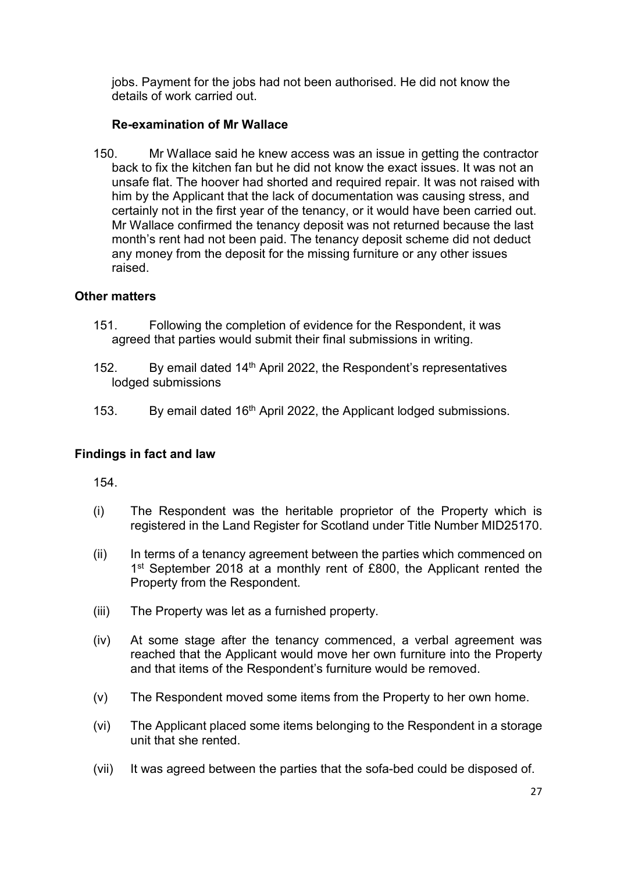jobs. Payment for the jobs had not been authorised. He did not know the details of work carried out.

## **Re-examination of Mr Wallace**

150. Mr Wallace said he knew access was an issue in getting the contractor back to fix the kitchen fan but he did not know the exact issues. It was not an unsafe flat. The hoover had shorted and required repair. It was not raised with him by the Applicant that the lack of documentation was causing stress, and certainly not in the first year of the tenancy, or it would have been carried out. Mr Wallace confirmed the tenancy deposit was not returned because the last month's rent had not been paid. The tenancy deposit scheme did not deduct any money from the deposit for the missing furniture or any other issues raised.

## **Other matters**

- 151. Following the completion of evidence for the Respondent, it was agreed that parties would submit their final submissions in writing.
- 152. By email dated  $14<sup>th</sup>$  April 2022, the Respondent's representatives lodged submissions
- 153. By email dated 16<sup>th</sup> April 2022, the Applicant lodged submissions.

## **Findings in fact and law**

154.

- (i) The Respondent was the heritable proprietor of the Property which is registered in the Land Register for Scotland under Title Number MID25170.
- (ii) In terms of a tenancy agreement between the parties which commenced on 1<sup>st</sup> September 2018 at a monthly rent of £800, the Applicant rented the Property from the Respondent.
- (iii) The Property was let as a furnished property.
- (iv) At some stage after the tenancy commenced, a verbal agreement was reached that the Applicant would move her own furniture into the Property and that items of the Respondent's furniture would be removed.
- (v) The Respondent moved some items from the Property to her own home.
- (vi) The Applicant placed some items belonging to the Respondent in a storage unit that she rented.
- (vii) It was agreed between the parties that the sofa-bed could be disposed of.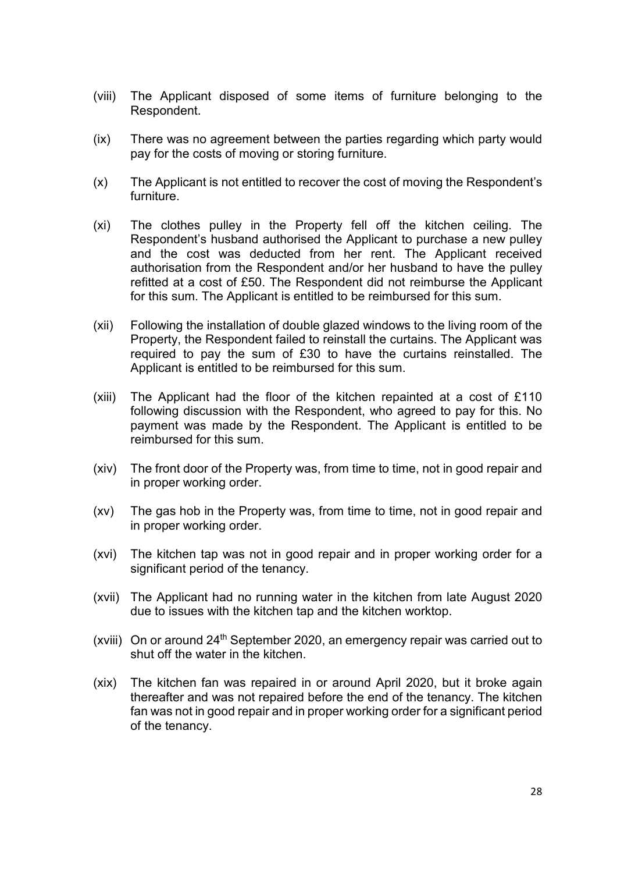- (viii) The Applicant disposed of some items of furniture belonging to the Respondent.
- (ix) There was no agreement between the parties regarding which party would pay for the costs of moving or storing furniture.
- (x) The Applicant is not entitled to recover the cost of moving the Respondent's furniture.
- (xi) The clothes pulley in the Property fell off the kitchen ceiling. The Respondent's husband authorised the Applicant to purchase a new pulley and the cost was deducted from her rent. The Applicant received authorisation from the Respondent and/or her husband to have the pulley refitted at a cost of £50. The Respondent did not reimburse the Applicant for this sum. The Applicant is entitled to be reimbursed for this sum.
- (xii) Following the installation of double glazed windows to the living room of the Property, the Respondent failed to reinstall the curtains. The Applicant was required to pay the sum of £30 to have the curtains reinstalled. The Applicant is entitled to be reimbursed for this sum.
- (xiii) The Applicant had the floor of the kitchen repainted at a cost of  $£110$ following discussion with the Respondent, who agreed to pay for this. No payment was made by the Respondent. The Applicant is entitled to be reimbursed for this sum.
- (xiv) The front door of the Property was, from time to time, not in good repair and in proper working order.
- (xv) The gas hob in the Property was, from time to time, not in good repair and in proper working order.
- (xvi) The kitchen tap was not in good repair and in proper working order for a significant period of the tenancy.
- (xvii) The Applicant had no running water in the kitchen from late August 2020 due to issues with the kitchen tap and the kitchen worktop.
- (xviii) On or around  $24<sup>th</sup>$  September 2020, an emergency repair was carried out to shut off the water in the kitchen.
- (xix) The kitchen fan was repaired in or around April 2020, but it broke again thereafter and was not repaired before the end of the tenancy. The kitchen fan was not in good repair and in proper working order for a significant period of the tenancy.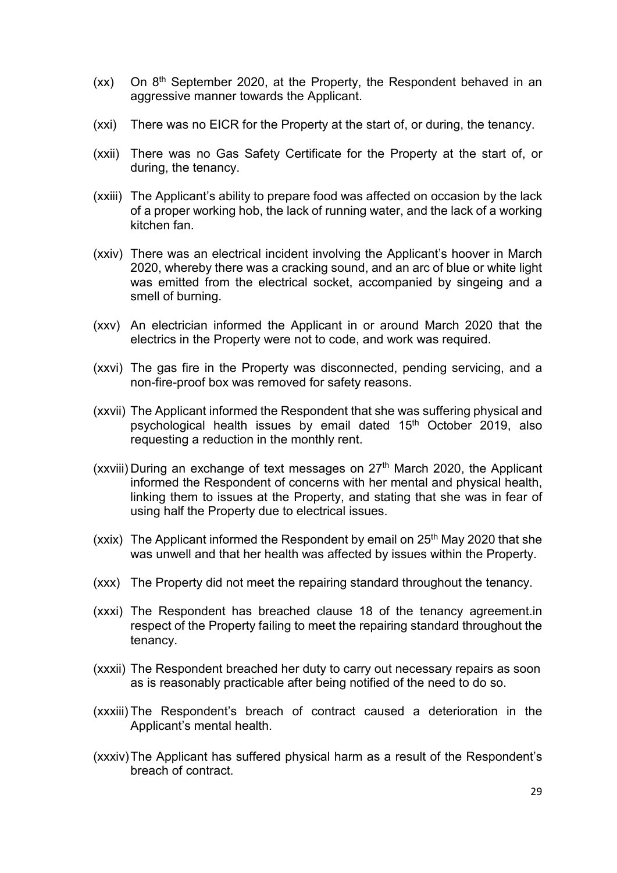- $(xx)$  On  $8<sup>th</sup>$  September 2020, at the Property, the Respondent behaved in an aggressive manner towards the Applicant.
- (xxi) There was no EICR for the Property at the start of, or during, the tenancy.
- (xxii) There was no Gas Safety Certificate for the Property at the start of, or during, the tenancy.
- (xxiii) The Applicant's ability to prepare food was affected on occasion by the lack of a proper working hob, the lack of running water, and the lack of a working kitchen fan.
- (xxiv) There was an electrical incident involving the Applicant's hoover in March 2020, whereby there was a cracking sound, and an arc of blue or white light was emitted from the electrical socket, accompanied by singeing and a smell of burning.
- (xxv) An electrician informed the Applicant in or around March 2020 that the electrics in the Property were not to code, and work was required.
- (xxvi) The gas fire in the Property was disconnected, pending servicing, and a non-fire-proof box was removed for safety reasons.
- (xxvii) The Applicant informed the Respondent that she was suffering physical and psychological health issues by email dated 15th October 2019, also requesting a reduction in the monthly rent.
- (xxviii) During an exchange of text messages on  $27<sup>th</sup>$  March 2020, the Applicant informed the Respondent of concerns with her mental and physical health, linking them to issues at the Property, and stating that she was in fear of using half the Property due to electrical issues.
- (xxix) The Applicant informed the Respondent by email on  $25<sup>th</sup>$  May 2020 that she was unwell and that her health was affected by issues within the Property.
- (xxx) The Property did not meet the repairing standard throughout the tenancy.
- (xxxi) The Respondent has breached clause 18 of the tenancy agreement.in respect of the Property failing to meet the repairing standard throughout the tenancy.
- (xxxii) The Respondent breached her duty to carry out necessary repairs as soon as is reasonably practicable after being notified of the need to do so.
- (xxxiii) The Respondent's breach of contract caused a deterioration in the Applicant's mental health.
- (xxxiv) The Applicant has suffered physical harm as a result of the Respondent's breach of contract.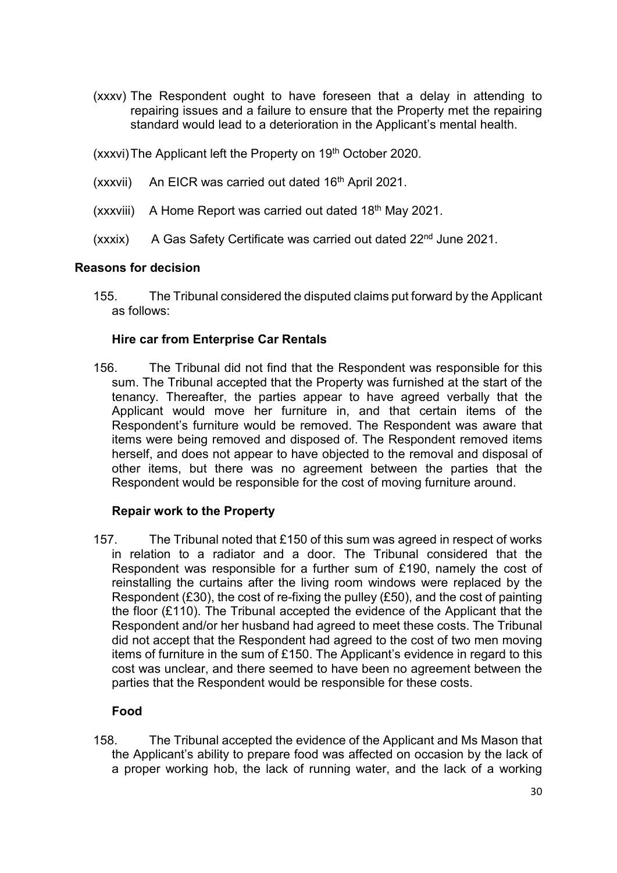- (xxxv) The Respondent ought to have foreseen that a delay in attending to repairing issues and a failure to ensure that the Property met the repairing standard would lead to a deterioration in the Applicant's mental health.
- (xxxvi) The Applicant left the Property on 19<sup>th</sup> October 2020.
- $(xxxvii)$  An EICR was carried out dated 16<sup>th</sup> April 2021.
- $(xxxviii)$  A Home Report was carried out dated 18<sup>th</sup> May 2021.
- (xxxix) A Gas Safety Certificate was carried out dated 22<sup>nd</sup> June 2021.

## **Reasons for decision**

155. The Tribunal considered the disputed claims put forward by the Applicant as follows:

## **Hire car from Enterprise Car Rentals**

156. The Tribunal did not find that the Respondent was responsible for this sum. The Tribunal accepted that the Property was furnished at the start of the tenancy. Thereafter, the parties appear to have agreed verbally that the Applicant would move her furniture in, and that certain items of the Respondent's furniture would be removed. The Respondent was aware that items were being removed and disposed of. The Respondent removed items herself, and does not appear to have objected to the removal and disposal of other items, but there was no agreement between the parties that the Respondent would be responsible for the cost of moving furniture around.

## **Repair work to the Property**

157. The Tribunal noted that £150 of this sum was agreed in respect of works in relation to a radiator and a door. The Tribunal considered that the Respondent was responsible for a further sum of £190, namely the cost of reinstalling the curtains after the living room windows were replaced by the Respondent (£30), the cost of re-fixing the pulley (£50), and the cost of painting the floor (£110). The Tribunal accepted the evidence of the Applicant that the Respondent and/or her husband had agreed to meet these costs. The Tribunal did not accept that the Respondent had agreed to the cost of two men moving items of furniture in the sum of £150. The Applicant's evidence in regard to this cost was unclear, and there seemed to have been no agreement between the parties that the Respondent would be responsible for these costs.

## **Food**

158. The Tribunal accepted the evidence of the Applicant and Ms Mason that the Applicant's ability to prepare food was affected on occasion by the lack of a proper working hob, the lack of running water, and the lack of a working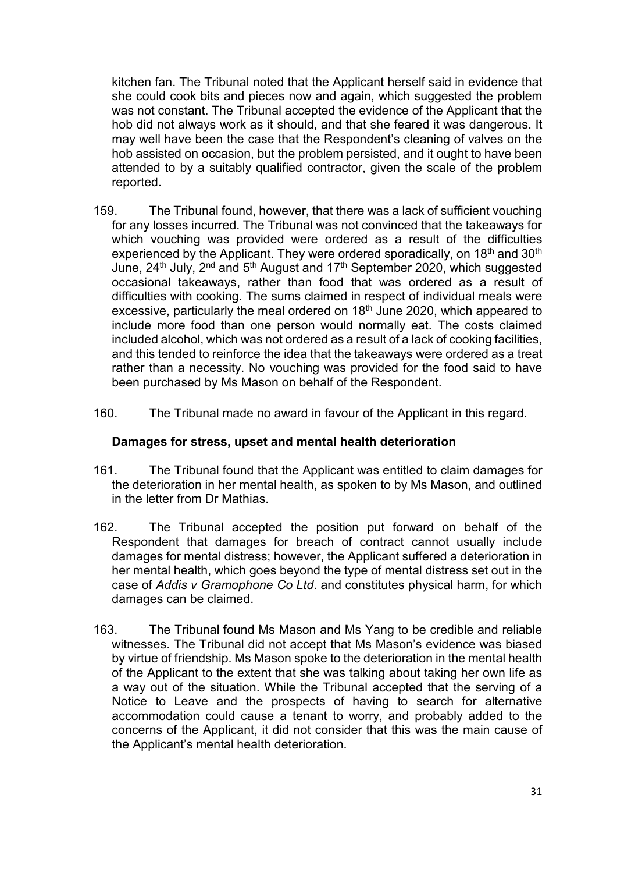kitchen fan. The Tribunal noted that the Applicant herself said in evidence that she could cook bits and pieces now and again, which suggested the problem was not constant. The Tribunal accepted the evidence of the Applicant that the hob did not always work as it should, and that she feared it was dangerous. It may well have been the case that the Respondent's cleaning of valves on the hob assisted on occasion, but the problem persisted, and it ought to have been attended to by a suitably qualified contractor, given the scale of the problem reported.

- 159. The Tribunal found, however, that there was a lack of sufficient vouching for any losses incurred. The Tribunal was not convinced that the takeaways for which vouching was provided were ordered as a result of the difficulties experienced by the Applicant. They were ordered sporadically, on 18<sup>th</sup> and 30<sup>th</sup> June, 24th July, 2nd and 5th August and 17th September 2020, which suggested occasional takeaways, rather than food that was ordered as a result of difficulties with cooking. The sums claimed in respect of individual meals were excessive, particularly the meal ordered on 18<sup>th</sup> June 2020, which appeared to include more food than one person would normally eat. The costs claimed included alcohol, which was not ordered as a result of a lack of cooking facilities, and this tended to reinforce the idea that the takeaways were ordered as a treat rather than a necessity. No vouching was provided for the food said to have been purchased by Ms Mason on behalf of the Respondent.
- 160. The Tribunal made no award in favour of the Applicant in this regard.

#### **Damages for stress, upset and mental health deterioration**

- 161. The Tribunal found that the Applicant was entitled to claim damages for the deterioration in her mental health, as spoken to by Ms Mason, and outlined in the letter from Dr Mathias.
- 162. The Tribunal accepted the position put forward on behalf of the Respondent that damages for breach of contract cannot usually include damages for mental distress; however, the Applicant suffered a deterioration in her mental health, which goes beyond the type of mental distress set out in the case of *Addis v Gramophone Co Ltd*. and constitutes physical harm, for which damages can be claimed.
- 163. The Tribunal found Ms Mason and Ms Yang to be credible and reliable witnesses. The Tribunal did not accept that Ms Mason's evidence was biased by virtue of friendship. Ms Mason spoke to the deterioration in the mental health of the Applicant to the extent that she was talking about taking her own life as a way out of the situation. While the Tribunal accepted that the serving of a Notice to Leave and the prospects of having to search for alternative accommodation could cause a tenant to worry, and probably added to the concerns of the Applicant, it did not consider that this was the main cause of the Applicant's mental health deterioration.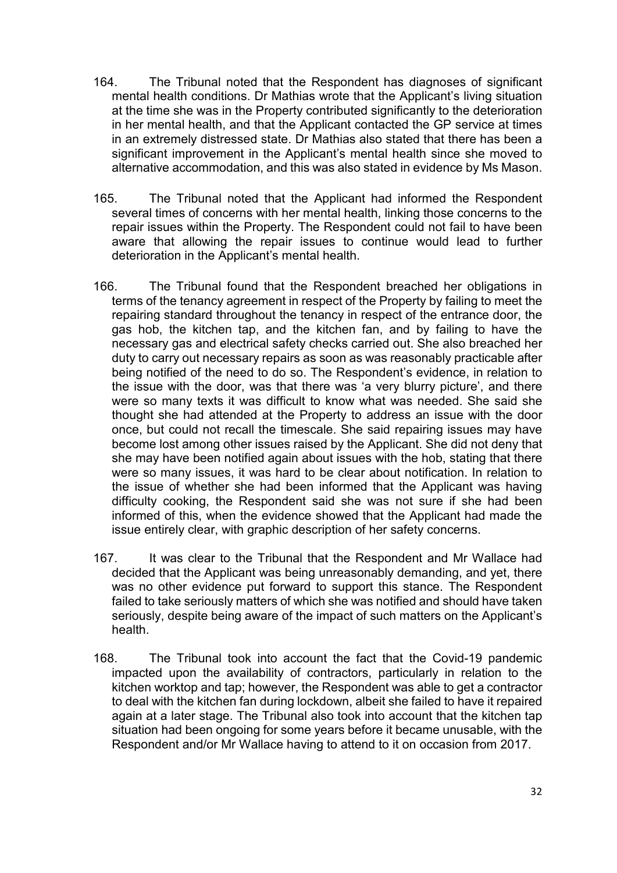- 164. The Tribunal noted that the Respondent has diagnoses of significant mental health conditions. Dr Mathias wrote that the Applicant's living situation at the time she was in the Property contributed significantly to the deterioration in her mental health, and that the Applicant contacted the GP service at times in an extremely distressed state. Dr Mathias also stated that there has been a significant improvement in the Applicant's mental health since she moved to alternative accommodation, and this was also stated in evidence by Ms Mason.
- 165. The Tribunal noted that the Applicant had informed the Respondent several times of concerns with her mental health, linking those concerns to the repair issues within the Property. The Respondent could not fail to have been aware that allowing the repair issues to continue would lead to further deterioration in the Applicant's mental health.
- 166. The Tribunal found that the Respondent breached her obligations in terms of the tenancy agreement in respect of the Property by failing to meet the repairing standard throughout the tenancy in respect of the entrance door, the gas hob, the kitchen tap, and the kitchen fan, and by failing to have the necessary gas and electrical safety checks carried out. She also breached her duty to carry out necessary repairs as soon as was reasonably practicable after being notified of the need to do so. The Respondent's evidence, in relation to the issue with the door, was that there was 'a very blurry picture', and there were so many texts it was difficult to know what was needed. She said she thought she had attended at the Property to address an issue with the door once, but could not recall the timescale. She said repairing issues may have become lost among other issues raised by the Applicant. She did not deny that she may have been notified again about issues with the hob, stating that there were so many issues, it was hard to be clear about notification. In relation to the issue of whether she had been informed that the Applicant was having difficulty cooking, the Respondent said she was not sure if she had been informed of this, when the evidence showed that the Applicant had made the issue entirely clear, with graphic description of her safety concerns.
- 167. It was clear to the Tribunal that the Respondent and Mr Wallace had decided that the Applicant was being unreasonably demanding, and yet, there was no other evidence put forward to support this stance. The Respondent failed to take seriously matters of which she was notified and should have taken seriously, despite being aware of the impact of such matters on the Applicant's health.
- 168. The Tribunal took into account the fact that the Covid-19 pandemic impacted upon the availability of contractors, particularly in relation to the kitchen worktop and tap; however, the Respondent was able to get a contractor to deal with the kitchen fan during lockdown, albeit she failed to have it repaired again at a later stage. The Tribunal also took into account that the kitchen tap situation had been ongoing for some years before it became unusable, with the Respondent and/or Mr Wallace having to attend to it on occasion from 2017.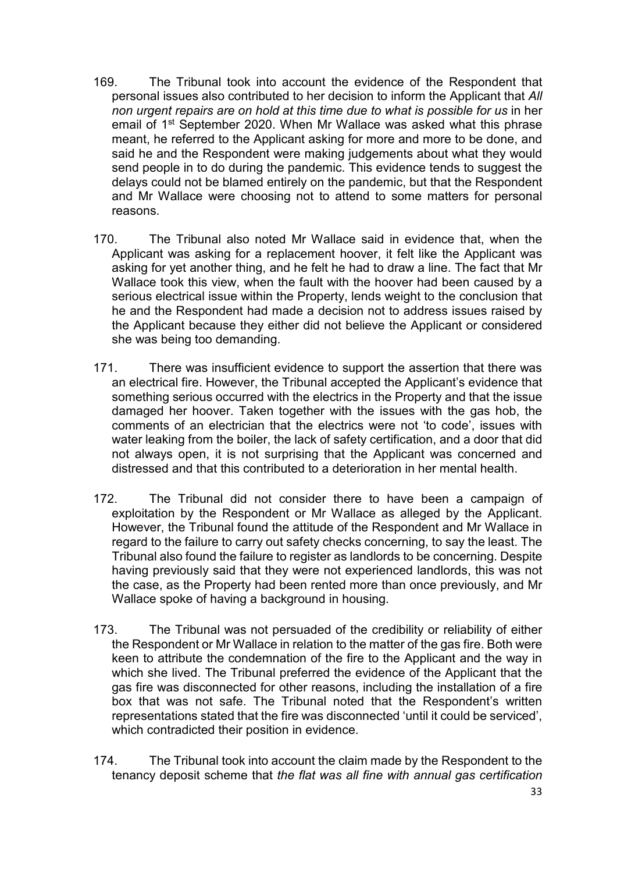- 169. The Tribunal took into account the evidence of the Respondent that personal issues also contributed to her decision to inform the Applicant that *All non urgent repairs are on hold at this time due to what is possible for us* in her email of 1st September 2020. When Mr Wallace was asked what this phrase meant, he referred to the Applicant asking for more and more to be done, and said he and the Respondent were making judgements about what they would send people in to do during the pandemic. This evidence tends to suggest the delays could not be blamed entirely on the pandemic, but that the Respondent and Mr Wallace were choosing not to attend to some matters for personal reasons.
- 170. The Tribunal also noted Mr Wallace said in evidence that, when the Applicant was asking for a replacement hoover, it felt like the Applicant was asking for yet another thing, and he felt he had to draw a line. The fact that Mr Wallace took this view, when the fault with the hoover had been caused by a serious electrical issue within the Property, lends weight to the conclusion that he and the Respondent had made a decision not to address issues raised by the Applicant because they either did not believe the Applicant or considered she was being too demanding.
- 171. There was insufficient evidence to support the assertion that there was an electrical fire. However, the Tribunal accepted the Applicant's evidence that something serious occurred with the electrics in the Property and that the issue damaged her hoover. Taken together with the issues with the gas hob, the comments of an electrician that the electrics were not 'to code', issues with water leaking from the boiler, the lack of safety certification, and a door that did not always open, it is not surprising that the Applicant was concerned and distressed and that this contributed to a deterioration in her mental health.
- 172. The Tribunal did not consider there to have been a campaign of exploitation by the Respondent or Mr Wallace as alleged by the Applicant. However, the Tribunal found the attitude of the Respondent and Mr Wallace in regard to the failure to carry out safety checks concerning, to say the least. The Tribunal also found the failure to register as landlords to be concerning. Despite having previously said that they were not experienced landlords, this was not the case, as the Property had been rented more than once previously, and Mr Wallace spoke of having a background in housing.
- 173. The Tribunal was not persuaded of the credibility or reliability of either the Respondent or Mr Wallace in relation to the matter of the gas fire. Both were keen to attribute the condemnation of the fire to the Applicant and the way in which she lived. The Tribunal preferred the evidence of the Applicant that the gas fire was disconnected for other reasons, including the installation of a fire box that was not safe. The Tribunal noted that the Respondent's written representations stated that the fire was disconnected 'until it could be serviced', which contradicted their position in evidence.
- 174. The Tribunal took into account the claim made by the Respondent to the tenancy deposit scheme that *the flat was all fine with annual gas certification*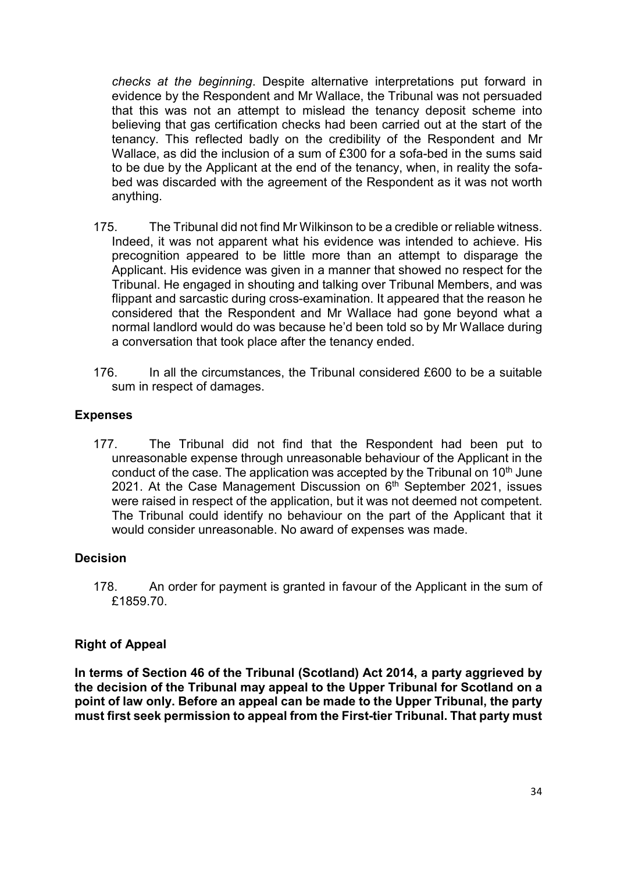*checks at the beginning*. Despite alternative interpretations put forward in evidence by the Respondent and Mr Wallace, the Tribunal was not persuaded that this was not an attempt to mislead the tenancy deposit scheme into believing that gas certification checks had been carried out at the start of the tenancy. This reflected badly on the credibility of the Respondent and Mr Wallace, as did the inclusion of a sum of £300 for a sofa-bed in the sums said to be due by the Applicant at the end of the tenancy, when, in reality the sofabed was discarded with the agreement of the Respondent as it was not worth anything.

- 175. The Tribunal did not find Mr Wilkinson to be a credible or reliable witness. Indeed, it was not apparent what his evidence was intended to achieve. His precognition appeared to be little more than an attempt to disparage the Applicant. His evidence was given in a manner that showed no respect for the Tribunal. He engaged in shouting and talking over Tribunal Members, and was flippant and sarcastic during cross-examination. It appeared that the reason he considered that the Respondent and Mr Wallace had gone beyond what a normal landlord would do was because he'd been told so by Mr Wallace during a conversation that took place after the tenancy ended.
- 176. In all the circumstances, the Tribunal considered £600 to be a suitable sum in respect of damages.

## **Expenses**

177. The Tribunal did not find that the Respondent had been put to unreasonable expense through unreasonable behaviour of the Applicant in the conduct of the case. The application was accepted by the Tribunal on  $10<sup>th</sup>$  June 2021. At the Case Management Discussion on  $6<sup>th</sup>$  September 2021, issues were raised in respect of the application, but it was not deemed not competent. The Tribunal could identify no behaviour on the part of the Applicant that it would consider unreasonable. No award of expenses was made.

## **Decision**

178. An order for payment is granted in favour of the Applicant in the sum of £1859.70.

## **Right of Appeal**

**In terms of Section 46 of the Tribunal (Scotland) Act 2014, a party aggrieved by the decision of the Tribunal may appeal to the Upper Tribunal for Scotland on a point of law only. Before an appeal can be made to the Upper Tribunal, the party must first seek permission to appeal from the First-tier Tribunal. That party must**